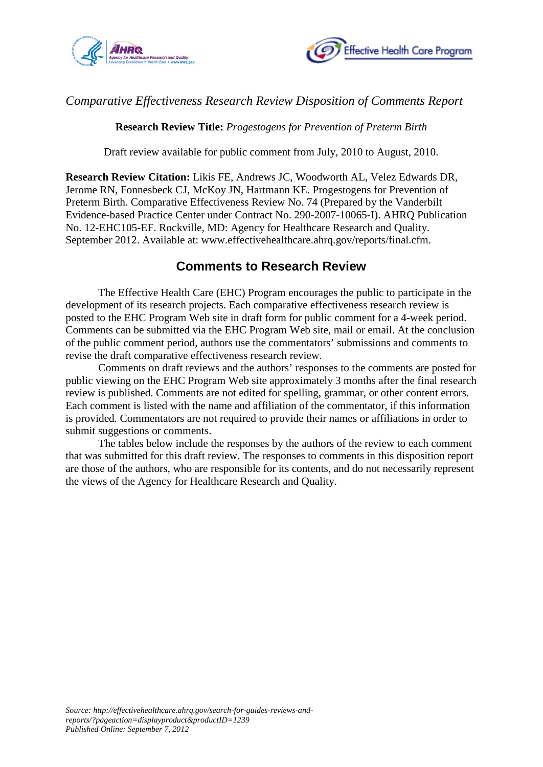



## *Comparative Effectiveness Research Review Disposition of Comments Report*

**Research Review Title:** *Progestogens for Prevention of Preterm Birth*

Draft review available for public comment from July, 2010 to August, 2010.

**Research Review Citation:** Likis FE, Andrews JC, Woodworth AL, Velez Edwards DR, Jerome RN, Fonnesbeck CJ, McKoy JN, Hartmann KE. Progestogens for Prevention of Preterm Birth. Comparative Effectiveness Review No. 74 (Prepared by the Vanderbilt Evidence-based Practice Center under Contract No. 290-2007-10065-I). AHRQ Publication No. 12-EHC105-EF. Rockville, MD: Agency for Healthcare Research and Quality. September 2012. Available at: www.effectivehealthcare.ahrq.gov/reports/final.cfm.

## **Comments to Research Review**

The Effective Health Care (EHC) Program encourages the public to participate in the development of its research projects. Each comparative effectiveness research review is posted to the EHC Program Web site in draft form for public comment for a 4-week period. Comments can be submitted via the EHC Program Web site, mail or email. At the conclusion of the public comment period, authors use the commentators' submissions and comments to revise the draft comparative effectiveness research review.

Comments on draft reviews and the authors' responses to the comments are posted for public viewing on the EHC Program Web site approximately 3 months after the final research review is published. Comments are not edited for spelling, grammar, or other content errors. Each comment is listed with the name and affiliation of the commentator, if this information is provided*.* Commentators are not required to provide their names or affiliations in order to submit suggestions or comments.

The tables below include the responses by the authors of the review to each comment that was submitted for this draft review. The responses to comments in this disposition report are those of the authors, who are responsible for its contents, and do not necessarily represent the views of the Agency for Healthcare Research and Quality.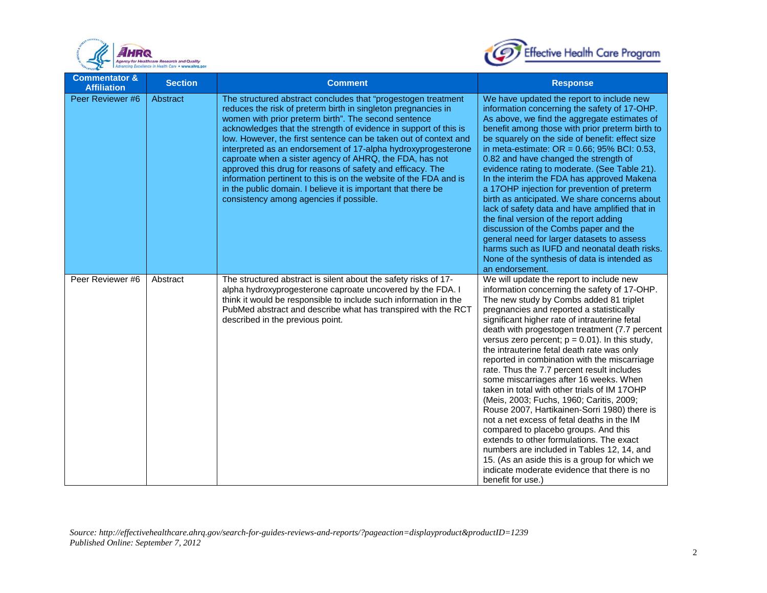



| <b>Commentator &amp;</b><br><b>Affiliation</b> | <b>Section</b> | <b>Comment</b>                                                                                                                                                                                                                                                                                                                                                                                                                                                                                                                                                                                                                                                                                            | <b>Response</b>                                                                                                                                                                                                                                                                                                                                                                                                                                                                                                                                                                                                                                                                                                                                                                                                                                                                                                                                                               |
|------------------------------------------------|----------------|-----------------------------------------------------------------------------------------------------------------------------------------------------------------------------------------------------------------------------------------------------------------------------------------------------------------------------------------------------------------------------------------------------------------------------------------------------------------------------------------------------------------------------------------------------------------------------------------------------------------------------------------------------------------------------------------------------------|-------------------------------------------------------------------------------------------------------------------------------------------------------------------------------------------------------------------------------------------------------------------------------------------------------------------------------------------------------------------------------------------------------------------------------------------------------------------------------------------------------------------------------------------------------------------------------------------------------------------------------------------------------------------------------------------------------------------------------------------------------------------------------------------------------------------------------------------------------------------------------------------------------------------------------------------------------------------------------|
| Peer Reviewer #6                               | Abstract       | The structured abstract concludes that "progestogen treatment<br>reduces the risk of preterm birth in singleton pregnancies in<br>women with prior preterm birth". The second sentence<br>acknowledges that the strength of evidence in support of this is<br>low. However, the first sentence can be taken out of context and<br>interpreted as an endorsement of 17-alpha hydroxyprogesterone<br>caproate when a sister agency of AHRQ, the FDA, has not<br>approved this drug for reasons of safety and efficacy. The<br>information pertinent to this is on the website of the FDA and is<br>in the public domain. I believe it is important that there be<br>consistency among agencies if possible. | We have updated the report to include new<br>information concerning the safety of 17-OHP.<br>As above, we find the aggregate estimates of<br>benefit among those with prior preterm birth to<br>be squarely on the side of benefit: effect size<br>in meta-estimate: $OR = 0.66$ ; 95% BCI: 0.53,<br>0.82 and have changed the strength of<br>evidence rating to moderate. (See Table 21).<br>In the interim the FDA has approved Makena<br>a 17OHP injection for prevention of preterm<br>birth as anticipated. We share concerns about<br>lack of safety data and have amplified that in<br>the final version of the report adding<br>discussion of the Combs paper and the<br>general need for larger datasets to assess<br>harms such as IUFD and neonatal death risks.<br>None of the synthesis of data is intended as<br>an endorsement.                                                                                                                                |
| Peer Reviewer #6                               | Abstract       | The structured abstract is silent about the safety risks of 17-<br>alpha hydroxyprogesterone caproate uncovered by the FDA. I<br>think it would be responsible to include such information in the<br>PubMed abstract and describe what has transpired with the RCT<br>described in the previous point.                                                                                                                                                                                                                                                                                                                                                                                                    | We will update the report to include new<br>information concerning the safety of 17-OHP.<br>The new study by Combs added 81 triplet<br>pregnancies and reported a statistically<br>significant higher rate of intrauterine fetal<br>death with progestogen treatment (7.7 percent<br>versus zero percent; $p = 0.01$ ). In this study,<br>the intrauterine fetal death rate was only<br>reported in combination with the miscarriage<br>rate. Thus the 7.7 percent result includes<br>some miscarriages after 16 weeks. When<br>taken in total with other trials of IM 17OHP<br>(Meis, 2003; Fuchs, 1960; Caritis, 2009;<br>Rouse 2007, Hartikainen-Sorri 1980) there is<br>not a net excess of fetal deaths in the IM<br>compared to placebo groups. And this<br>extends to other formulations. The exact<br>numbers are included in Tables 12, 14, and<br>15. (As an aside this is a group for which we<br>indicate moderate evidence that there is no<br>benefit for use.) |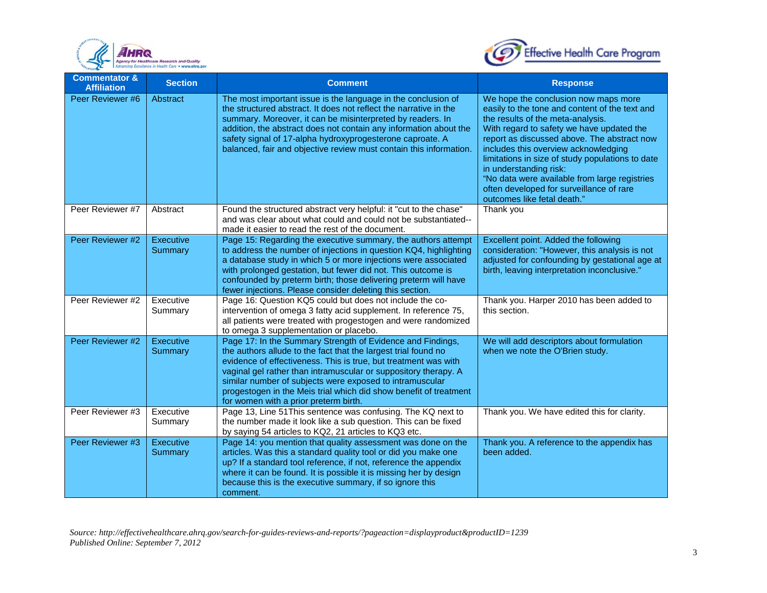



| <b>Commentator &amp;</b><br><b>Affiliation</b> | <b>Section</b>       | <b>Comment</b>                                                                                                                                                                                                                                                                                                                                                                                                                               | <b>Response</b>                                                                                                                                                                                                                                                                                                                                                                                                                                                           |
|------------------------------------------------|----------------------|----------------------------------------------------------------------------------------------------------------------------------------------------------------------------------------------------------------------------------------------------------------------------------------------------------------------------------------------------------------------------------------------------------------------------------------------|---------------------------------------------------------------------------------------------------------------------------------------------------------------------------------------------------------------------------------------------------------------------------------------------------------------------------------------------------------------------------------------------------------------------------------------------------------------------------|
| Peer Reviewer #6                               | Abstract             | The most important issue is the language in the conclusion of<br>the structured abstract. It does not reflect the narrative in the<br>summary. Moreover, it can be misinterpreted by readers. In<br>addition, the abstract does not contain any information about the<br>safety signal of 17-alpha hydroxyprogesterone caproate. A<br>balanced, fair and objective review must contain this information.                                     | We hope the conclusion now maps more<br>easily to the tone and content of the text and<br>the results of the meta-analysis.<br>With regard to safety we have updated the<br>report as discussed above. The abstract now<br>includes this overview acknowledging<br>limitations in size of study populations to date<br>in understanding risk:<br>"No data were available from large registries<br>often developed for surveillance of rare<br>outcomes like fetal death." |
| Peer Reviewer #7                               | Abstract             | Found the structured abstract very helpful: it "cut to the chase"<br>and was clear about what could and could not be substantiated--<br>made it easier to read the rest of the document.                                                                                                                                                                                                                                                     | Thank you                                                                                                                                                                                                                                                                                                                                                                                                                                                                 |
| Peer Reviewer #2                               | Executive<br>Summary | Page 15: Regarding the executive summary, the authors attempt<br>to address the number of injections in question KQ4, highlighting<br>a database study in which 5 or more injections were associated<br>with prolonged gestation, but fewer did not. This outcome is<br>confounded by preterm birth; those delivering preterm will have<br>fewer injections. Please consider deleting this section.                                          | Excellent point. Added the following<br>consideration: "However, this analysis is not<br>adjusted for confounding by gestational age at<br>birth, leaving interpretation inconclusive."                                                                                                                                                                                                                                                                                   |
| Peer Reviewer #2                               | Executive<br>Summary | Page 16: Question KQ5 could but does not include the co-<br>intervention of omega 3 fatty acid supplement. In reference 75,<br>all patients were treated with progestogen and were randomized<br>to omega 3 supplementation or placebo.                                                                                                                                                                                                      | Thank you. Harper 2010 has been added to<br>this section.                                                                                                                                                                                                                                                                                                                                                                                                                 |
| Peer Reviewer #2                               | Executive<br>Summary | Page 17: In the Summary Strength of Evidence and Findings,<br>the authors allude to the fact that the largest trial found no<br>evidence of effectiveness. This is true, but treatment was with<br>vaginal gel rather than intramuscular or suppository therapy. A<br>similar number of subjects were exposed to intramuscular<br>progestogen in the Meis trial which did show benefit of treatment<br>for women with a prior preterm birth. | We will add descriptors about formulation<br>when we note the O'Brien study.                                                                                                                                                                                                                                                                                                                                                                                              |
| Peer Reviewer #3                               | Executive<br>Summary | Page 13, Line 51 This sentence was confusing. The KQ next to<br>the number made it look like a sub question. This can be fixed<br>by saying 54 articles to KQ2, 21 articles to KQ3 etc.                                                                                                                                                                                                                                                      | Thank you. We have edited this for clarity.                                                                                                                                                                                                                                                                                                                                                                                                                               |
| Peer Reviewer #3                               | Executive<br>Summary | Page 14: you mention that quality assessment was done on the<br>articles. Was this a standard quality tool or did you make one<br>up? If a standard tool reference, if not, reference the appendix<br>where it can be found. It is possible it is missing her by design<br>because this is the executive summary, if so ignore this<br>comment.                                                                                              | Thank you. A reference to the appendix has<br>been added.                                                                                                                                                                                                                                                                                                                                                                                                                 |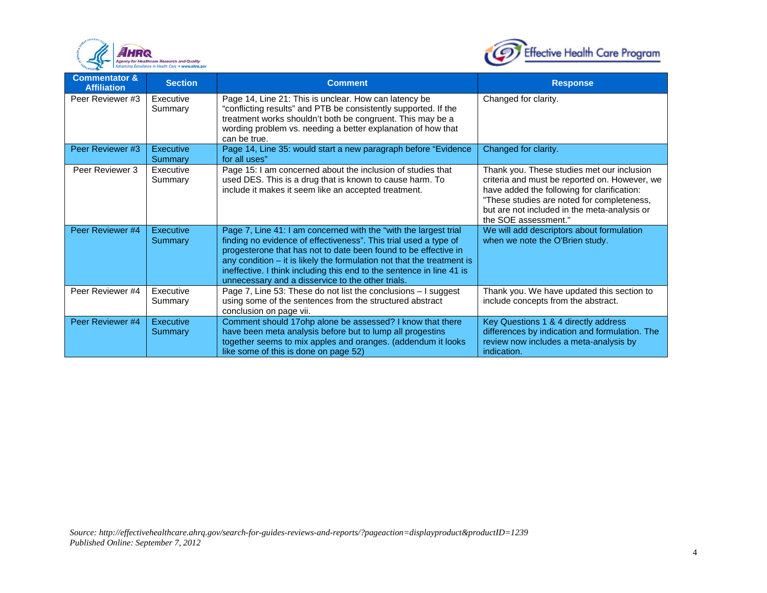



| <b>Commentator &amp;</b><br><b>Affiliation</b> | <b>Section</b>       | <b>Comment</b>                                                                                                                                                                                                                                                                                                                                                                                                    | <b>Response</b>                                                                                                                                                                                                                                                  |
|------------------------------------------------|----------------------|-------------------------------------------------------------------------------------------------------------------------------------------------------------------------------------------------------------------------------------------------------------------------------------------------------------------------------------------------------------------------------------------------------------------|------------------------------------------------------------------------------------------------------------------------------------------------------------------------------------------------------------------------------------------------------------------|
| Peer Reviewer #3                               | Executive<br>Summary | Page 14, Line 21: This is unclear. How can latency be<br>"conflicting results" and PTB be consistently supported. If the<br>treatment works shouldn't both be congruent. This may be a<br>wording problem vs. needing a better explanation of how that<br>can be true.                                                                                                                                            | Changed for clarity.                                                                                                                                                                                                                                             |
| Peer Reviewer #3                               | Executive<br>Summary | Page 14, Line 35: would start a new paragraph before "Evidence<br>for all uses"                                                                                                                                                                                                                                                                                                                                   | Changed for clarity.                                                                                                                                                                                                                                             |
| Peer Reviewer 3                                | Executive<br>Summary | Page 15: I am concerned about the inclusion of studies that<br>used DES. This is a drug that is known to cause harm. To<br>include it makes it seem like an accepted treatment.                                                                                                                                                                                                                                   | Thank you. These studies met our inclusion<br>criteria and must be reported on. However, we<br>have added the following for clarification:<br>"These studies are noted for completeness,<br>but are not included in the meta-analysis or<br>the SOE assessment." |
| Peer Reviewer #4                               | Executive<br>Summary | Page 7, Line 41: I am concerned with the "with the largest trial<br>finding no evidence of effectiveness". This trial used a type of<br>progesterone that has not to date been found to be effective in<br>any condition $-$ it is likely the formulation not that the treatment is<br>ineffective. I think including this end to the sentence in line 41 is<br>unnecessary and a disservice to the other trials. | We will add descriptors about formulation<br>when we note the O'Brien study.                                                                                                                                                                                     |
| Peer Reviewer #4                               | Executive<br>Summary | Page 7, Line 53: These do not list the conclusions - I suggest<br>using some of the sentences from the structured abstract<br>conclusion on page vii.                                                                                                                                                                                                                                                             | Thank you. We have updated this section to<br>include concepts from the abstract.                                                                                                                                                                                |
| Peer Reviewer #4                               | Executive<br>Summary | Comment should 17ohp alone be assessed? I know that there<br>have been meta analysis before but to lump all progestins<br>together seems to mix apples and oranges. (addendum it looks<br>like some of this is done on page 52)                                                                                                                                                                                   | Key Questions 1 & 4 directly address<br>differences by indication and formulation. The<br>review now includes a meta-analysis by<br>indication.                                                                                                                  |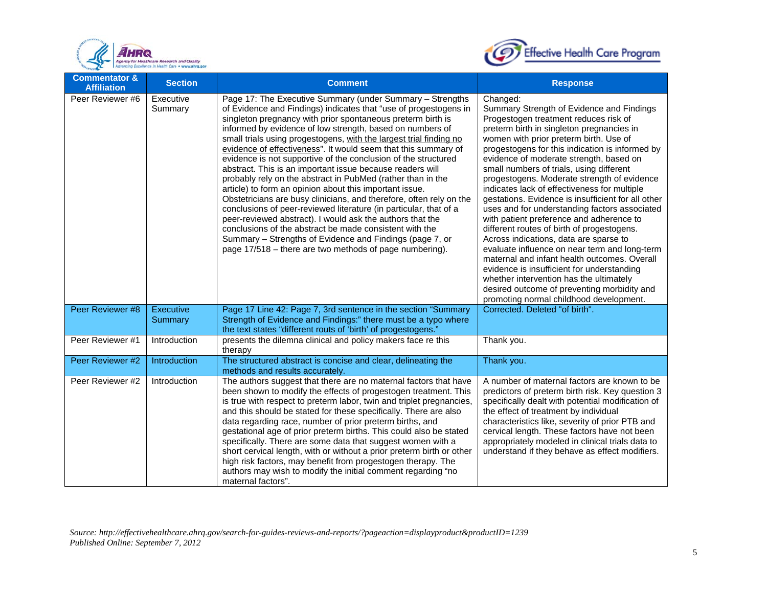



| <b>Commentator &amp;</b><br><b>Affiliation</b> | <b>Section</b>       | <b>Comment</b>                                                                                                                                                                                                                                                                                                                                                                                                                                                                                                                                                                                                                                                                                                                                                                                                                                                                                                                                                                                                                                        | <b>Response</b>                                                                                                                                                                                                                                                                                                                                                                                                                                                                                                                                                                                                                                                                                                                                                                                                                                                                                                                                               |
|------------------------------------------------|----------------------|-------------------------------------------------------------------------------------------------------------------------------------------------------------------------------------------------------------------------------------------------------------------------------------------------------------------------------------------------------------------------------------------------------------------------------------------------------------------------------------------------------------------------------------------------------------------------------------------------------------------------------------------------------------------------------------------------------------------------------------------------------------------------------------------------------------------------------------------------------------------------------------------------------------------------------------------------------------------------------------------------------------------------------------------------------|---------------------------------------------------------------------------------------------------------------------------------------------------------------------------------------------------------------------------------------------------------------------------------------------------------------------------------------------------------------------------------------------------------------------------------------------------------------------------------------------------------------------------------------------------------------------------------------------------------------------------------------------------------------------------------------------------------------------------------------------------------------------------------------------------------------------------------------------------------------------------------------------------------------------------------------------------------------|
| Peer Reviewer #6                               | Executive<br>Summary | Page 17: The Executive Summary (under Summary - Strengths<br>of Evidence and Findings) indicates that "use of progestogens in<br>singleton pregnancy with prior spontaneous preterm birth is<br>informed by evidence of low strength, based on numbers of<br>small trials using progestogens, with the largest trial finding no<br>evidence of effectiveness". It would seem that this summary of<br>evidence is not supportive of the conclusion of the structured<br>abstract. This is an important issue because readers will<br>probably rely on the abstract in PubMed (rather than in the<br>article) to form an opinion about this important issue.<br>Obstetricians are busy clinicians, and therefore, often rely on the<br>conclusions of peer-reviewed literature (in particular, that of a<br>peer-reviewed abstract). I would ask the authors that the<br>conclusions of the abstract be made consistent with the<br>Summary - Strengths of Evidence and Findings (page 7, or<br>page 17/518 – there are two methods of page numbering). | Changed:<br>Summary Strength of Evidence and Findings<br>Progestogen treatment reduces risk of<br>preterm birth in singleton pregnancies in<br>women with prior preterm birth. Use of<br>progestogens for this indication is informed by<br>evidence of moderate strength, based on<br>small numbers of trials, using different<br>progestogens. Moderate strength of evidence<br>indicates lack of effectiveness for multiple<br>gestations. Evidence is insufficient for all other<br>uses and for understanding factors associated<br>with patient preference and adherence to<br>different routes of birth of progestogens.<br>Across indications, data are sparse to<br>evaluate influence on near term and long-term<br>maternal and infant health outcomes. Overall<br>evidence is insufficient for understanding<br>whether intervention has the ultimately<br>desired outcome of preventing morbidity and<br>promoting normal childhood development. |
| Peer Reviewer #8                               | Executive<br>Summary | Page 17 Line 42: Page 7, 3rd sentence in the section "Summary<br>Strength of Evidence and Findings:" there must be a typo where                                                                                                                                                                                                                                                                                                                                                                                                                                                                                                                                                                                                                                                                                                                                                                                                                                                                                                                       | Corrected. Deleted "of birth".                                                                                                                                                                                                                                                                                                                                                                                                                                                                                                                                                                                                                                                                                                                                                                                                                                                                                                                                |
| Peer Reviewer #1                               | Introduction         | the text states "different routs of 'birth' of progestogens."<br>presents the dilemna clinical and policy makers face re this<br>therapy                                                                                                                                                                                                                                                                                                                                                                                                                                                                                                                                                                                                                                                                                                                                                                                                                                                                                                              | Thank you.                                                                                                                                                                                                                                                                                                                                                                                                                                                                                                                                                                                                                                                                                                                                                                                                                                                                                                                                                    |
| Peer Reviewer #2                               | Introduction         | The structured abstract is concise and clear, delineating the<br>methods and results accurately.                                                                                                                                                                                                                                                                                                                                                                                                                                                                                                                                                                                                                                                                                                                                                                                                                                                                                                                                                      | Thank you.                                                                                                                                                                                                                                                                                                                                                                                                                                                                                                                                                                                                                                                                                                                                                                                                                                                                                                                                                    |
| Peer Reviewer #2                               | Introduction         | The authors suggest that there are no maternal factors that have<br>been shown to modify the effects of progestogen treatment. This<br>is true with respect to preterm labor, twin and triplet pregnancies,<br>and this should be stated for these specifically. There are also<br>data regarding race, number of prior preterm births, and<br>gestational age of prior preterm births. This could also be stated<br>specifically. There are some data that suggest women with a<br>short cervical length, with or without a prior preterm birth or other<br>high risk factors, may benefit from progestogen therapy. The<br>authors may wish to modify the initial comment regarding "no<br>maternal factors".                                                                                                                                                                                                                                                                                                                                       | A number of maternal factors are known to be<br>predictors of preterm birth risk. Key question 3<br>specifically dealt with potential modification of<br>the effect of treatment by individual<br>characteristics like, severity of prior PTB and<br>cervical length. These factors have not been<br>appropriately modeled in clinical trials data to<br>understand if they behave as effect modifiers.                                                                                                                                                                                                                                                                                                                                                                                                                                                                                                                                                       |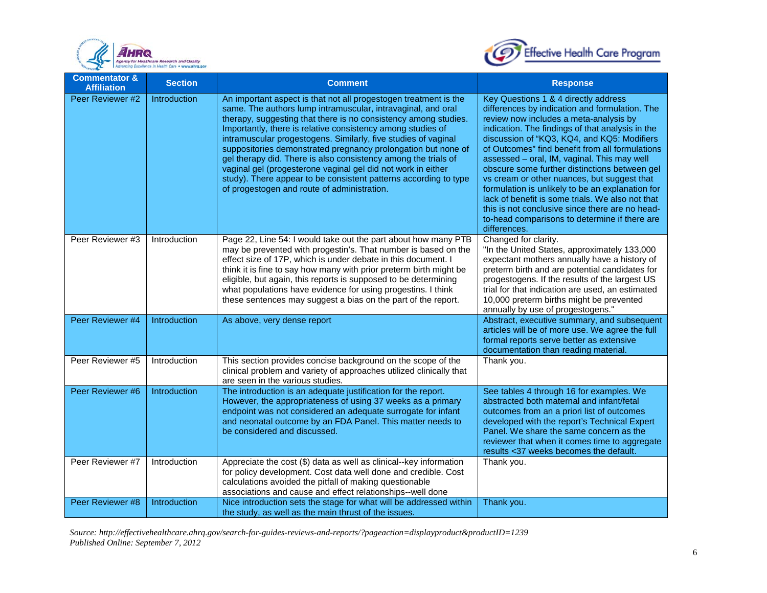



| <b>Commentator &amp;</b><br><b>Affiliation</b> | <b>Section</b> | <b>Comment</b>                                                                                                                                                                                                                                                                                                                                                                                                                                                                                                                                                                                                                                             | <b>Response</b>                                                                                                                                                                                                                                                                                                                                                                                                                                                                                                                                                                                                                                                   |
|------------------------------------------------|----------------|------------------------------------------------------------------------------------------------------------------------------------------------------------------------------------------------------------------------------------------------------------------------------------------------------------------------------------------------------------------------------------------------------------------------------------------------------------------------------------------------------------------------------------------------------------------------------------------------------------------------------------------------------------|-------------------------------------------------------------------------------------------------------------------------------------------------------------------------------------------------------------------------------------------------------------------------------------------------------------------------------------------------------------------------------------------------------------------------------------------------------------------------------------------------------------------------------------------------------------------------------------------------------------------------------------------------------------------|
| Peer Reviewer #2                               | Introduction   | An important aspect is that not all progestogen treatment is the<br>same. The authors lump intramuscular, intravaginal, and oral<br>therapy, suggesting that there is no consistency among studies.<br>Importantly, there is relative consistency among studies of<br>intramuscular progestogens. Similarly, five studies of vaginal<br>suppositories demonstrated pregnancy prolongation but none of<br>gel therapy did. There is also consistency among the trials of<br>vaginal gel (progesterone vaginal gel did not work in either<br>study). There appear to be consistent patterns according to type<br>of progestogen and route of administration. | Key Questions 1 & 4 directly address<br>differences by indication and formulation. The<br>review now includes a meta-analysis by<br>indication. The findings of that analysis in the<br>discussion of "KQ3, KQ4, and KQ5: Modifiers<br>of Outcomes" find benefit from all formulations<br>assessed - oral, IM, vaginal. This may well<br>obscure some further distinctions between gel<br>vs cream or other nuances, but suggest that<br>formulation is unlikely to be an explanation for<br>lack of benefit is some trials. We also not that<br>this is not conclusive since there are no head-<br>to-head comparisons to determine if there are<br>differences. |
| Peer Reviewer #3                               | Introduction   | Page 22, Line 54: I would take out the part about how many PTB<br>may be prevented with progestin's. That number is based on the<br>effect size of 17P, which is under debate in this document. I<br>think it is fine to say how many with prior preterm birth might be<br>eligible, but again, this reports is supposed to be determining<br>what populations have evidence for using progestins. I think<br>these sentences may suggest a bias on the part of the report.                                                                                                                                                                                | Changed for clarity.<br>"In the United States, approximately 133,000<br>expectant mothers annually have a history of<br>preterm birth and are potential candidates for<br>progestogens. If the results of the largest US<br>trial for that indication are used, an estimated<br>10,000 preterm births might be prevented<br>annually by use of progestogens."                                                                                                                                                                                                                                                                                                     |
| Peer Reviewer #4                               | Introduction   | As above, very dense report                                                                                                                                                                                                                                                                                                                                                                                                                                                                                                                                                                                                                                | Abstract, executive summary, and subsequent<br>articles will be of more use. We agree the full<br>formal reports serve better as extensive<br>documentation than reading material.                                                                                                                                                                                                                                                                                                                                                                                                                                                                                |
| Peer Reviewer #5                               | Introduction   | This section provides concise background on the scope of the<br>clinical problem and variety of approaches utilized clinically that<br>are seen in the various studies.                                                                                                                                                                                                                                                                                                                                                                                                                                                                                    | Thank you.                                                                                                                                                                                                                                                                                                                                                                                                                                                                                                                                                                                                                                                        |
| Peer Reviewer #6                               | Introduction   | The introduction is an adequate justification for the report.<br>However, the appropriateness of using 37 weeks as a primary<br>endpoint was not considered an adequate surrogate for infant<br>and neonatal outcome by an FDA Panel. This matter needs to<br>be considered and discussed.                                                                                                                                                                                                                                                                                                                                                                 | See tables 4 through 16 for examples. We<br>abstracted both maternal and infant/fetal<br>outcomes from an a priori list of outcomes<br>developed with the report's Technical Expert<br>Panel. We share the same concern as the<br>reviewer that when it comes time to aggregate<br>results <37 weeks becomes the default.                                                                                                                                                                                                                                                                                                                                         |
| Peer Reviewer #7                               | Introduction   | Appreciate the cost (\$) data as well as clinical--key information<br>for policy development. Cost data well done and credible. Cost<br>calculations avoided the pitfall of making questionable<br>associations and cause and effect relationships--well done                                                                                                                                                                                                                                                                                                                                                                                              | Thank you.                                                                                                                                                                                                                                                                                                                                                                                                                                                                                                                                                                                                                                                        |
| Peer Reviewer #8                               | Introduction   | Nice introduction sets the stage for what will be addressed within<br>the study, as well as the main thrust of the issues.                                                                                                                                                                                                                                                                                                                                                                                                                                                                                                                                 | Thank you.                                                                                                                                                                                                                                                                                                                                                                                                                                                                                                                                                                                                                                                        |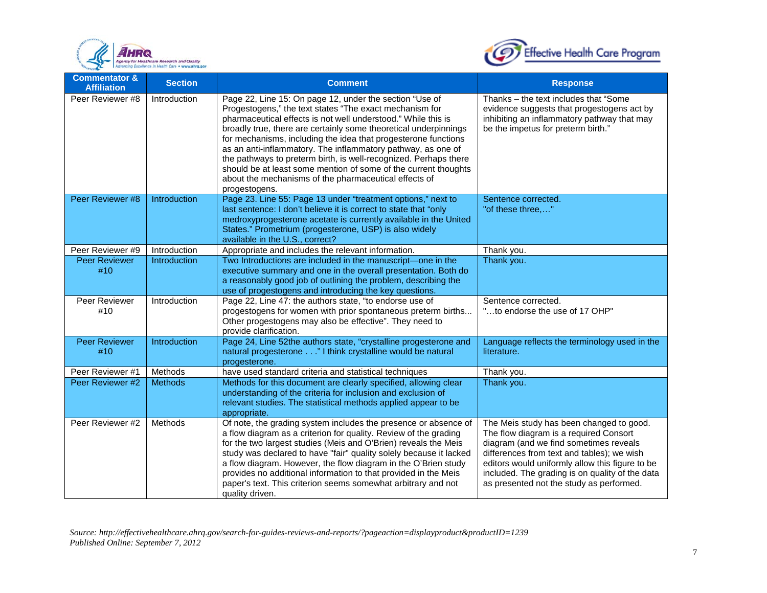



| <b>Commentator &amp;</b><br><b>Affiliation</b> | <b>Section</b> | <b>Comment</b>                                                                                                                                                                                                                                                                                                                                                                                                                                                                                                                                                                                             | <b>Response</b>                                                                                                                                                                                                                                                                                                              |
|------------------------------------------------|----------------|------------------------------------------------------------------------------------------------------------------------------------------------------------------------------------------------------------------------------------------------------------------------------------------------------------------------------------------------------------------------------------------------------------------------------------------------------------------------------------------------------------------------------------------------------------------------------------------------------------|------------------------------------------------------------------------------------------------------------------------------------------------------------------------------------------------------------------------------------------------------------------------------------------------------------------------------|
| Peer Reviewer #8                               | Introduction   | Page 22, Line 15: On page 12, under the section "Use of<br>Progestogens," the text states "The exact mechanism for<br>pharmaceutical effects is not well understood." While this is<br>broadly true, there are certainly some theoretical underpinnings<br>for mechanisms, including the idea that progesterone functions<br>as an anti-inflammatory. The inflammatory pathway, as one of<br>the pathways to preterm birth, is well-recognized. Perhaps there<br>should be at least some mention of some of the current thoughts<br>about the mechanisms of the pharmaceutical effects of<br>progestogens. | Thanks - the text includes that "Some<br>evidence suggests that progestogens act by<br>inhibiting an inflammatory pathway that may<br>be the impetus for preterm birth."                                                                                                                                                     |
| Peer Reviewer #8                               | Introduction   | Page 23. Line 55: Page 13 under "treatment options," next to<br>last sentence: I don't believe it is correct to state that "only<br>medroxyprogesterone acetate is currently available in the United<br>States." Prometrium (progesterone, USP) is also widely<br>available in the U.S., correct?                                                                                                                                                                                                                                                                                                          | Sentence corrected.<br>"of these three,"                                                                                                                                                                                                                                                                                     |
| Peer Reviewer #9                               | Introduction   | Appropriate and includes the relevant information.                                                                                                                                                                                                                                                                                                                                                                                                                                                                                                                                                         | Thank you.                                                                                                                                                                                                                                                                                                                   |
| <b>Peer Reviewer</b><br>#10                    | Introduction   | Two Introductions are included in the manuscript-one in the<br>executive summary and one in the overall presentation. Both do<br>a reasonably good job of outlining the problem, describing the<br>use of progestogens and introducing the key questions.                                                                                                                                                                                                                                                                                                                                                  | Thank you.                                                                                                                                                                                                                                                                                                                   |
| Peer Reviewer<br>#10                           | Introduction   | Page 22, Line 47: the authors state, "to endorse use of<br>progestogens for women with prior spontaneous preterm births<br>Other progestogens may also be effective". They need to<br>provide clarification.                                                                                                                                                                                                                                                                                                                                                                                               | Sentence corrected.<br>"to endorse the use of 17 OHP"                                                                                                                                                                                                                                                                        |
| <b>Peer Reviewer</b><br>#10                    | Introduction   | Page 24, Line 52the authors state, "crystalline progesterone and<br>natural progesterone" I think crystalline would be natural<br>progesterone.                                                                                                                                                                                                                                                                                                                                                                                                                                                            | Language reflects the terminology used in the<br>literature.                                                                                                                                                                                                                                                                 |
| Peer Reviewer #1                               | Methods        | have used standard criteria and statistical techniques                                                                                                                                                                                                                                                                                                                                                                                                                                                                                                                                                     | Thank you.                                                                                                                                                                                                                                                                                                                   |
| Peer Reviewer #2                               | <b>Methods</b> | Methods for this document are clearly specified, allowing clear<br>understanding of the criteria for inclusion and exclusion of<br>relevant studies. The statistical methods applied appear to be<br>appropriate.                                                                                                                                                                                                                                                                                                                                                                                          | Thank you.                                                                                                                                                                                                                                                                                                                   |
| Peer Reviewer #2                               | Methods        | Of note, the grading system includes the presence or absence of<br>a flow diagram as a criterion for quality. Review of the grading<br>for the two largest studies (Meis and O'Brien) reveals the Meis<br>study was declared to have "fair" quality solely because it lacked<br>a flow diagram. However, the flow diagram in the O'Brien study<br>provides no additional information to that provided in the Meis<br>paper's text. This criterion seems somewhat arbitrary and not<br>quality driven.                                                                                                      | The Meis study has been changed to good.<br>The flow diagram is a required Consort<br>diagram (and we find sometimes reveals<br>differences from text and tables); we wish<br>editors would uniformly allow this figure to be<br>included. The grading is on quality of the data<br>as presented not the study as performed. |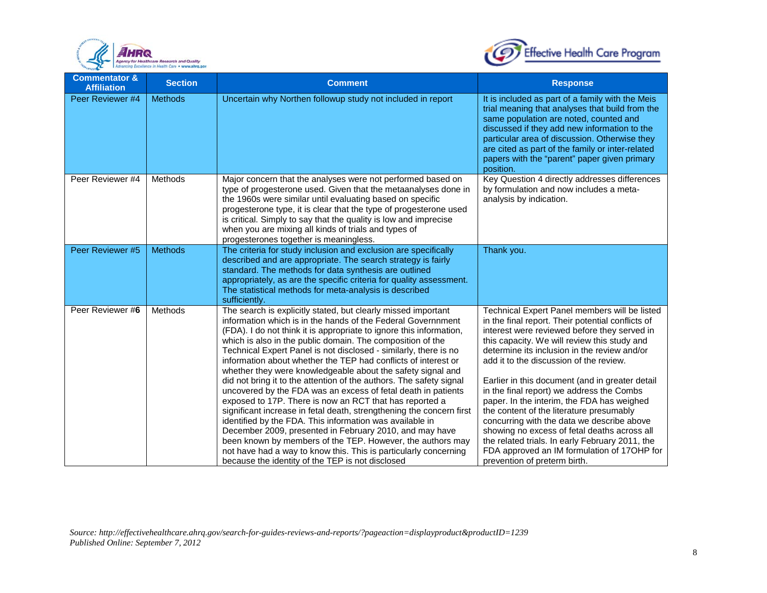



| <b>Commentator &amp;</b><br><b>Affiliation</b> | <b>Section</b> | <b>Comment</b>                                                                                                                                                                                                                                                                                                                                                                                                                                                                                                                                                                                                                                                                                                                                                                                                                                                                                                                                                                                                                                                  | <b>Response</b>                                                                                                                                                                                                                                                                                                                                                                                                                                                                                                                                                                                                                                                                                                         |
|------------------------------------------------|----------------|-----------------------------------------------------------------------------------------------------------------------------------------------------------------------------------------------------------------------------------------------------------------------------------------------------------------------------------------------------------------------------------------------------------------------------------------------------------------------------------------------------------------------------------------------------------------------------------------------------------------------------------------------------------------------------------------------------------------------------------------------------------------------------------------------------------------------------------------------------------------------------------------------------------------------------------------------------------------------------------------------------------------------------------------------------------------|-------------------------------------------------------------------------------------------------------------------------------------------------------------------------------------------------------------------------------------------------------------------------------------------------------------------------------------------------------------------------------------------------------------------------------------------------------------------------------------------------------------------------------------------------------------------------------------------------------------------------------------------------------------------------------------------------------------------------|
| Peer Reviewer #4                               | <b>Methods</b> | Uncertain why Northen followup study not included in report                                                                                                                                                                                                                                                                                                                                                                                                                                                                                                                                                                                                                                                                                                                                                                                                                                                                                                                                                                                                     | It is included as part of a family with the Meis<br>trial meaning that analyses that build from the<br>same population are noted, counted and<br>discussed if they add new information to the<br>particular area of discussion. Otherwise they<br>are cited as part of the family or inter-related<br>papers with the "parent" paper given primary<br>position.                                                                                                                                                                                                                                                                                                                                                         |
| Peer Reviewer #4                               | Methods        | Major concern that the analyses were not performed based on<br>type of progesterone used. Given that the metaanalyses done in<br>the 1960s were similar until evaluating based on specific<br>progesterone type, it is clear that the type of progesterone used<br>is critical. Simply to say that the quality is low and imprecise<br>when you are mixing all kinds of trials and types of<br>progesterones together is meaningless.                                                                                                                                                                                                                                                                                                                                                                                                                                                                                                                                                                                                                           | Key Question 4 directly addresses differences<br>by formulation and now includes a meta-<br>analysis by indication.                                                                                                                                                                                                                                                                                                                                                                                                                                                                                                                                                                                                     |
| Peer Reviewer #5                               | <b>Methods</b> | The criteria for study inclusion and exclusion are specifically<br>described and are appropriate. The search strategy is fairly<br>standard. The methods for data synthesis are outlined<br>appropriately, as are the specific criteria for quality assessment.<br>The statistical methods for meta-analysis is described<br>sufficiently.                                                                                                                                                                                                                                                                                                                                                                                                                                                                                                                                                                                                                                                                                                                      | Thank you.                                                                                                                                                                                                                                                                                                                                                                                                                                                                                                                                                                                                                                                                                                              |
| Peer Reviewer #6                               | Methods        | The search is explicitly stated, but clearly missed important<br>information which is in the hands of the Federal Governnment<br>(FDA). I do not think it is appropriate to ignore this information,<br>which is also in the public domain. The composition of the<br>Technical Expert Panel is not disclosed - similarly, there is no<br>information about whether the TEP had conflicts of interest or<br>whether they were knowledgeable about the safety signal and<br>did not bring it to the attention of the authors. The safety signal<br>uncovered by the FDA was an excess of fetal death in patients<br>exposed to 17P. There is now an RCT that has reported a<br>significant increase in fetal death, strengthening the concern first<br>identified by the FDA. This information was available in<br>December 2009, presented in February 2010, and may have<br>been known by members of the TEP. However, the authors may<br>not have had a way to know this. This is particularly concerning<br>because the identity of the TEP is not disclosed | Technical Expert Panel members will be listed<br>in the final report. Their potential conflicts of<br>interest were reviewed before they served in<br>this capacity. We will review this study and<br>determine its inclusion in the review and/or<br>add it to the discussion of the review.<br>Earlier in this document (and in greater detail<br>in the final report) we address the Combs<br>paper. In the interim, the FDA has weighed<br>the content of the literature presumably<br>concurring with the data we describe above<br>showing no excess of fetal deaths across all<br>the related trials. In early February 2011, the<br>FDA approved an IM formulation of 17OHP for<br>prevention of preterm birth. |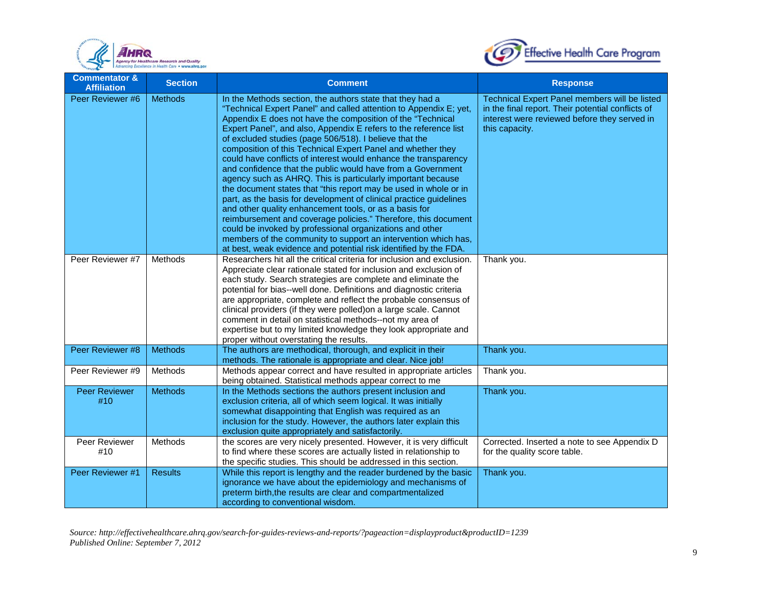



| <b>Commentator &amp;</b><br><b>Affiliation</b> | <b>Section</b> | <b>Comment</b>                                                                                                                                                                                                                                                                                                                                                                                                                                                                                                                                                                                                                                                                                                                                                                                                                                                                                                                                                                                                                                                     | <b>Response</b>                                                                                                                                                      |
|------------------------------------------------|----------------|--------------------------------------------------------------------------------------------------------------------------------------------------------------------------------------------------------------------------------------------------------------------------------------------------------------------------------------------------------------------------------------------------------------------------------------------------------------------------------------------------------------------------------------------------------------------------------------------------------------------------------------------------------------------------------------------------------------------------------------------------------------------------------------------------------------------------------------------------------------------------------------------------------------------------------------------------------------------------------------------------------------------------------------------------------------------|----------------------------------------------------------------------------------------------------------------------------------------------------------------------|
| Peer Reviewer #6                               | <b>Methods</b> | In the Methods section, the authors state that they had a<br>"Technical Expert Panel" and called attention to Appendix E; yet,<br>Appendix E does not have the composition of the "Technical<br>Expert Panel", and also, Appendix E refers to the reference list<br>of excluded studies (page 506/518). I believe that the<br>composition of this Technical Expert Panel and whether they<br>could have conflicts of interest would enhance the transparency<br>and confidence that the public would have from a Government<br>agency such as AHRQ. This is particularly important because<br>the document states that "this report may be used in whole or in<br>part, as the basis for development of clinical practice guidelines<br>and other quality enhancement tools, or as a basis for<br>reimbursement and coverage policies." Therefore, this document<br>could be invoked by professional organizations and other<br>members of the community to support an intervention which has,<br>at best, weak evidence and potential risk identified by the FDA. | Technical Expert Panel members will be listed<br>in the final report. Their potential conflicts of<br>interest were reviewed before they served in<br>this capacity. |
| Peer Reviewer #7                               | Methods        | Researchers hit all the critical criteria for inclusion and exclusion.<br>Appreciate clear rationale stated for inclusion and exclusion of<br>each study. Search strategies are complete and eliminate the<br>potential for bias--well done. Definitions and diagnostic criteria<br>are appropriate, complete and reflect the probable consensus of<br>clinical providers (if they were polled) on a large scale. Cannot<br>comment in detail on statistical methods--not my area of<br>expertise but to my limited knowledge they look appropriate and<br>proper without overstating the results.                                                                                                                                                                                                                                                                                                                                                                                                                                                                 | Thank you.                                                                                                                                                           |
| Peer Reviewer #8                               | <b>Methods</b> | The authors are methodical, thorough, and explicit in their<br>methods. The rationale is appropriate and clear. Nice job!                                                                                                                                                                                                                                                                                                                                                                                                                                                                                                                                                                                                                                                                                                                                                                                                                                                                                                                                          | Thank you.                                                                                                                                                           |
| Peer Reviewer #9                               | Methods        | Methods appear correct and have resulted in appropriate articles<br>being obtained. Statistical methods appear correct to me                                                                                                                                                                                                                                                                                                                                                                                                                                                                                                                                                                                                                                                                                                                                                                                                                                                                                                                                       | Thank you.                                                                                                                                                           |
| <b>Peer Reviewer</b><br>#10                    | <b>Methods</b> | In the Methods sections the authors present inclusion and<br>exclusion criteria, all of which seem logical. It was initially<br>somewhat disappointing that English was required as an<br>inclusion for the study. However, the authors later explain this<br>exclusion quite appropriately and satisfactorily.                                                                                                                                                                                                                                                                                                                                                                                                                                                                                                                                                                                                                                                                                                                                                    | Thank you.                                                                                                                                                           |
| Peer Reviewer<br>#10                           | Methods        | the scores are very nicely presented. However, it is very difficult<br>to find where these scores are actually listed in relationship to<br>the specific studies. This should be addressed in this section.                                                                                                                                                                                                                                                                                                                                                                                                                                                                                                                                                                                                                                                                                                                                                                                                                                                        | Corrected. Inserted a note to see Appendix D<br>for the quality score table.                                                                                         |
| Peer Reviewer #1                               | <b>Results</b> | While this report is lengthy and the reader burdened by the basic<br>ignorance we have about the epidemiology and mechanisms of<br>preterm birth, the results are clear and compartmentalized<br>according to conventional wisdom.                                                                                                                                                                                                                                                                                                                                                                                                                                                                                                                                                                                                                                                                                                                                                                                                                                 | Thank you.                                                                                                                                                           |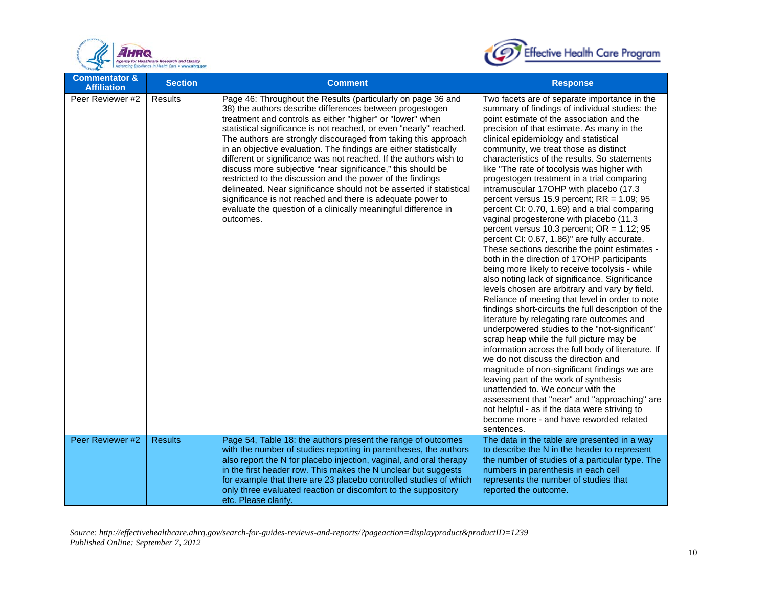



| <b>Commentator &amp;</b><br><b>Affiliation</b> | <b>Section</b> | <b>Comment</b>                                                                                                                                                                                                                                                                                                                                                                                                                                                                                                                                                                                                                                                                                                                                                                                                           | <b>Response</b>                                                                                                                                                                                                                                                                                                                                                                                                                                                                                                                                                                                                                                                                                                                                                                                                                                                                                                                                                                                                                                                                                                                                                                                                                                                                                                                                                                                                                                                                                                                                                                                                     |
|------------------------------------------------|----------------|--------------------------------------------------------------------------------------------------------------------------------------------------------------------------------------------------------------------------------------------------------------------------------------------------------------------------------------------------------------------------------------------------------------------------------------------------------------------------------------------------------------------------------------------------------------------------------------------------------------------------------------------------------------------------------------------------------------------------------------------------------------------------------------------------------------------------|---------------------------------------------------------------------------------------------------------------------------------------------------------------------------------------------------------------------------------------------------------------------------------------------------------------------------------------------------------------------------------------------------------------------------------------------------------------------------------------------------------------------------------------------------------------------------------------------------------------------------------------------------------------------------------------------------------------------------------------------------------------------------------------------------------------------------------------------------------------------------------------------------------------------------------------------------------------------------------------------------------------------------------------------------------------------------------------------------------------------------------------------------------------------------------------------------------------------------------------------------------------------------------------------------------------------------------------------------------------------------------------------------------------------------------------------------------------------------------------------------------------------------------------------------------------------------------------------------------------------|
| Peer Reviewer #2                               | Results        | Page 46: Throughout the Results (particularly on page 36 and<br>38) the authors describe differences between progestogen<br>treatment and controls as either "higher" or "lower" when<br>statistical significance is not reached, or even "nearly" reached.<br>The authors are strongly discouraged from taking this approach<br>in an objective evaluation. The findings are either statistically<br>different or significance was not reached. If the authors wish to<br>discuss more subjective "near significance," this should be<br>restricted to the discussion and the power of the findings<br>delineated. Near significance should not be asserted if statistical<br>significance is not reached and there is adequate power to<br>evaluate the question of a clinically meaningful difference in<br>outcomes. | Two facets are of separate importance in the<br>summary of findings of individual studies: the<br>point estimate of the association and the<br>precision of that estimate. As many in the<br>clinical epidemiology and statistical<br>community, we treat those as distinct<br>characteristics of the results. So statements<br>like "The rate of tocolysis was higher with<br>progestogen treatment in a trial comparing<br>intramuscular 17OHP with placebo (17.3<br>percent versus $15.9$ percent; RR = $1.09$ ; 95<br>percent CI: 0.70, 1.69) and a trial comparing<br>vaginal progesterone with placebo (11.3<br>percent versus 10.3 percent; $OR = 1.12$ ; 95<br>percent CI: 0.67, 1.86)" are fully accurate.<br>These sections describe the point estimates -<br>both in the direction of 17OHP participants<br>being more likely to receive tocolysis - while<br>also noting lack of significance. Significance<br>levels chosen are arbitrary and vary by field.<br>Reliance of meeting that level in order to note<br>findings short-circuits the full description of the<br>literature by relegating rare outcomes and<br>underpowered studies to the "not-significant"<br>scrap heap while the full picture may be<br>information across the full body of literature. If<br>we do not discuss the direction and<br>magnitude of non-significant findings we are<br>leaving part of the work of synthesis<br>unattended to. We concur with the<br>assessment that "near" and "approaching" are<br>not helpful - as if the data were striving to<br>become more - and have reworded related<br>sentences. |
| Peer Reviewer #2                               | <b>Results</b> | Page 54, Table 18: the authors present the range of outcomes<br>with the number of studies reporting in parentheses, the authors<br>also report the N for placebo injection, vaginal, and oral therapy<br>in the first header row. This makes the N unclear but suggests<br>for example that there are 23 placebo controlled studies of which<br>only three evaluated reaction or discomfort to the suppository<br>etc. Please clarify.                                                                                                                                                                                                                                                                                                                                                                                  | The data in the table are presented in a way<br>to describe the N in the header to represent<br>the number of studies of a particular type. The<br>numbers in parenthesis in each cell<br>represents the number of studies that<br>reported the outcome.                                                                                                                                                                                                                                                                                                                                                                                                                                                                                                                                                                                                                                                                                                                                                                                                                                                                                                                                                                                                                                                                                                                                                                                                                                                                                                                                                            |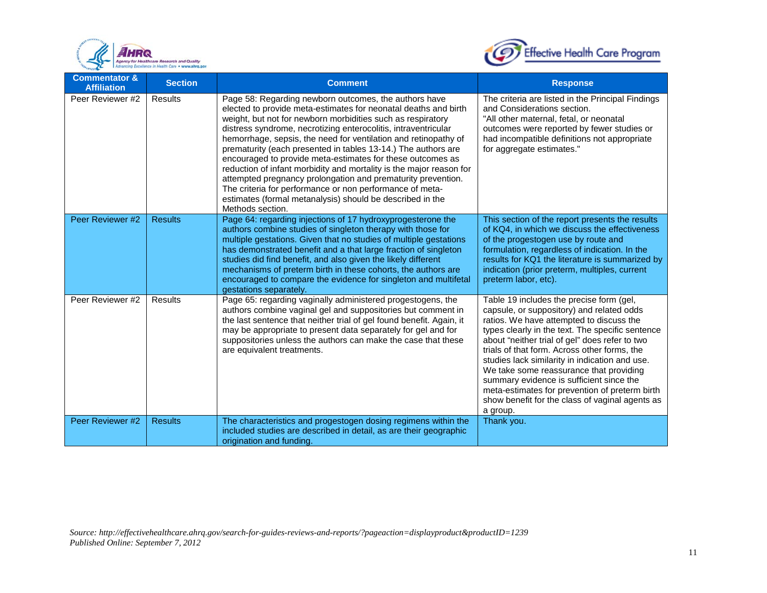



| <b>Commentator &amp;</b><br><b>Affiliation</b> | <b>Section</b> | <b>Comment</b>                                                                                                                                                                                                                                                                                                                                                                                                                                                                                                                                                                                                                                                                                                                                  | <b>Response</b>                                                                                                                                                                                                                                                                                                                                                                                                                                                                                                                                   |
|------------------------------------------------|----------------|-------------------------------------------------------------------------------------------------------------------------------------------------------------------------------------------------------------------------------------------------------------------------------------------------------------------------------------------------------------------------------------------------------------------------------------------------------------------------------------------------------------------------------------------------------------------------------------------------------------------------------------------------------------------------------------------------------------------------------------------------|---------------------------------------------------------------------------------------------------------------------------------------------------------------------------------------------------------------------------------------------------------------------------------------------------------------------------------------------------------------------------------------------------------------------------------------------------------------------------------------------------------------------------------------------------|
| Peer Reviewer #2                               | <b>Results</b> | Page 58: Regarding newborn outcomes, the authors have<br>elected to provide meta-estimates for neonatal deaths and birth<br>weight, but not for newborn morbidities such as respiratory<br>distress syndrome, necrotizing enterocolitis, intraventricular<br>hemorrhage, sepsis, the need for ventilation and retinopathy of<br>prematurity (each presented in tables 13-14.) The authors are<br>encouraged to provide meta-estimates for these outcomes as<br>reduction of infant morbidity and mortality is the major reason for<br>attempted pregnancy prolongation and prematurity prevention.<br>The criteria for performance or non performance of meta-<br>estimates (formal metanalysis) should be described in the<br>Methods section. | The criteria are listed in the Principal Findings<br>and Considerations section.<br>"All other maternal, fetal, or neonatal<br>outcomes were reported by fewer studies or<br>had incompatible definitions not appropriate<br>for aggregate estimates."                                                                                                                                                                                                                                                                                            |
| Peer Reviewer #2                               | <b>Results</b> | Page 64: regarding injections of 17 hydroxyprogesterone the<br>authors combine studies of singleton therapy with those for<br>multiple gestations. Given that no studies of multiple gestations<br>has demonstrated benefit and a that large fraction of singleton<br>studies did find benefit, and also given the likely different<br>mechanisms of preterm birth in these cohorts, the authors are<br>encouraged to compare the evidence for singleton and multifetal<br>gestations separately.                                                                                                                                                                                                                                               | This section of the report presents the results<br>of KQ4, in which we discuss the effectiveness<br>of the progestogen use by route and<br>formulation, regardless of indication. In the<br>results for KQ1 the literature is summarized by<br>indication (prior preterm, multiples, current<br>preterm labor, etc).                                                                                                                                                                                                                              |
| Peer Reviewer #2                               | Results        | Page 65: regarding vaginally administered progestogens, the<br>authors combine vaginal gel and suppositories but comment in<br>the last sentence that neither trial of gel found benefit. Again, it<br>may be appropriate to present data separately for gel and for<br>suppositories unless the authors can make the case that these<br>are equivalent treatments.                                                                                                                                                                                                                                                                                                                                                                             | Table 19 includes the precise form (gel,<br>capsule, or suppository) and related odds<br>ratios. We have attempted to discuss the<br>types clearly in the text. The specific sentence<br>about "neither trial of gel" does refer to two<br>trials of that form. Across other forms, the<br>studies lack similarity in indication and use.<br>We take some reassurance that providing<br>summary evidence is sufficient since the<br>meta-estimates for prevention of preterm birth<br>show benefit for the class of vaginal agents as<br>a group. |
| Peer Reviewer #2                               | <b>Results</b> | The characteristics and progestogen dosing regimens within the<br>included studies are described in detail, as are their geographic<br>origination and funding.                                                                                                                                                                                                                                                                                                                                                                                                                                                                                                                                                                                 | Thank you.                                                                                                                                                                                                                                                                                                                                                                                                                                                                                                                                        |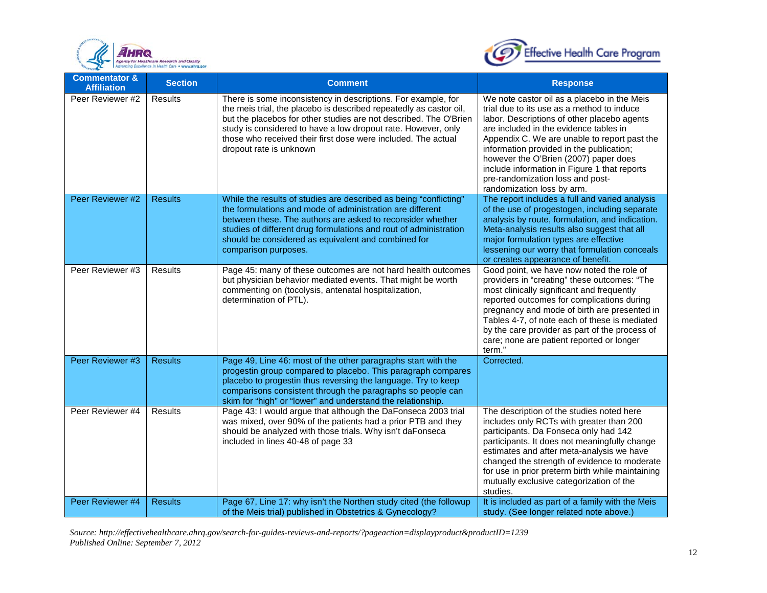



| <b>Commentator &amp;</b><br><b>Affiliation</b> | <b>Section</b> | <b>Comment</b>                                                                                                                                                                                                                                                                                                                                                        | <b>Response</b>                                                                                                                                                                                                                                                                                                                                                                                                                           |
|------------------------------------------------|----------------|-----------------------------------------------------------------------------------------------------------------------------------------------------------------------------------------------------------------------------------------------------------------------------------------------------------------------------------------------------------------------|-------------------------------------------------------------------------------------------------------------------------------------------------------------------------------------------------------------------------------------------------------------------------------------------------------------------------------------------------------------------------------------------------------------------------------------------|
| Peer Reviewer #2                               | Results        | There is some inconsistency in descriptions. For example, for<br>the meis trial, the placebo is described repeatedly as castor oil,<br>but the placebos for other studies are not described. The O'Brien<br>study is considered to have a low dropout rate. However, only<br>those who received their first dose were included. The actual<br>dropout rate is unknown | We note castor oil as a placebo in the Meis<br>trial due to its use as a method to induce<br>labor. Descriptions of other placebo agents<br>are included in the evidence tables in<br>Appendix C. We are unable to report past the<br>information provided in the publication;<br>however the O'Brien (2007) paper does<br>include information in Figure 1 that reports<br>pre-randomization loss and post-<br>randomization loss by arm. |
| Peer Reviewer #2                               | <b>Results</b> | While the results of studies are described as being "conflicting"<br>the formulations and mode of administration are different<br>between these. The authors are asked to reconsider whether<br>studies of different drug formulations and rout of administration<br>should be considered as equivalent and combined for<br>comparison purposes.                      | The report includes a full and varied analysis<br>of the use of progestogen, including separate<br>analysis by route, formulation, and indication.<br>Meta-analysis results also suggest that all<br>major formulation types are effective<br>lessening our worry that formulation conceals<br>or creates appearance of benefit.                                                                                                          |
| Peer Reviewer #3                               | <b>Results</b> | Page 45: many of these outcomes are not hard health outcomes<br>but physician behavior mediated events. That might be worth<br>commenting on (tocolysis, antenatal hospitalization,<br>determination of PTL).                                                                                                                                                         | Good point, we have now noted the role of<br>providers in "creating" these outcomes: "The<br>most clinically significant and frequently<br>reported outcomes for complications during<br>pregnancy and mode of birth are presented in<br>Tables 4-7, of note each of these is mediated<br>by the care provider as part of the process of<br>care; none are patient reported or longer<br>term."                                           |
| Peer Reviewer #3                               | <b>Results</b> | Page 49, Line 46: most of the other paragraphs start with the<br>progestin group compared to placebo. This paragraph compares<br>placebo to progestin thus reversing the language. Try to keep<br>comparisons consistent through the paragraphs so people can<br>skim for "high" or "lower" and understand the relationship.                                          | Corrected.                                                                                                                                                                                                                                                                                                                                                                                                                                |
| Peer Reviewer #4                               | Results        | Page 43: I would argue that although the DaFonseca 2003 trial<br>was mixed, over 90% of the patients had a prior PTB and they<br>should be analyzed with those trials. Why isn't daFonseca<br>included in lines 40-48 of page 33                                                                                                                                      | The description of the studies noted here<br>includes only RCTs with greater than 200<br>participants. Da Fonseca only had 142<br>participants. It does not meaningfully change<br>estimates and after meta-analysis we have<br>changed the strength of evidence to moderate<br>for use in prior preterm birth while maintaining<br>mutually exclusive categorization of the<br>studies.                                                  |
| Peer Reviewer #4                               | <b>Results</b> | Page 67, Line 17: why isn't the Northen study cited (the followup<br>of the Meis trial) published in Obstetrics & Gynecology?                                                                                                                                                                                                                                         | It is included as part of a family with the Meis<br>study. (See longer related note above.)                                                                                                                                                                                                                                                                                                                                               |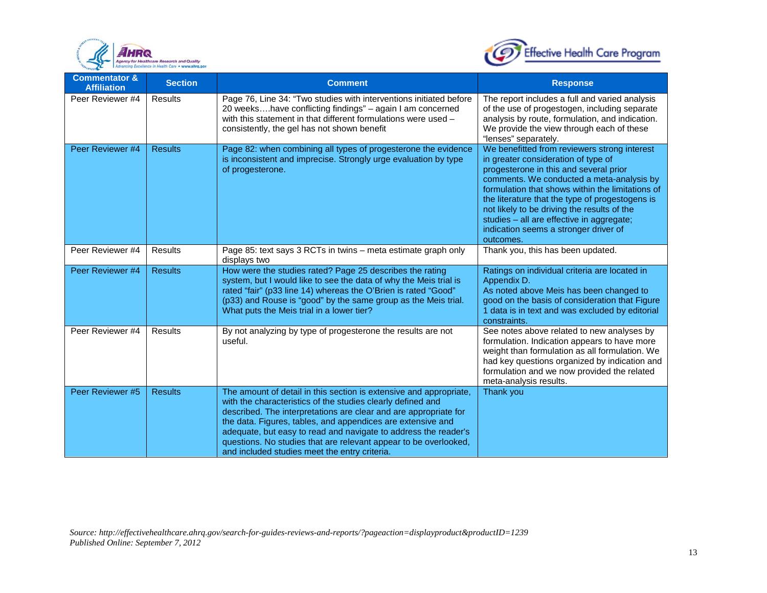



| <b>Commentator &amp;</b><br><b>Affiliation</b> | <b>Section</b> | <b>Comment</b>                                                                                                                                                                                                                                                                                                                                                                                                                                               | <b>Response</b>                                                                                                                                                                                                                                                                                                                                                                                                                     |
|------------------------------------------------|----------------|--------------------------------------------------------------------------------------------------------------------------------------------------------------------------------------------------------------------------------------------------------------------------------------------------------------------------------------------------------------------------------------------------------------------------------------------------------------|-------------------------------------------------------------------------------------------------------------------------------------------------------------------------------------------------------------------------------------------------------------------------------------------------------------------------------------------------------------------------------------------------------------------------------------|
| Peer Reviewer #4                               | Results        | Page 76, Line 34: "Two studies with interventions initiated before<br>20 weekshave conflicting findings" - again I am concerned<br>with this statement in that different formulations were used -<br>consistently, the gel has not shown benefit                                                                                                                                                                                                             | The report includes a full and varied analysis<br>of the use of progestogen, including separate<br>analysis by route, formulation, and indication.<br>We provide the view through each of these<br>"lenses" separately.                                                                                                                                                                                                             |
| Peer Reviewer #4                               | <b>Results</b> | Page 82: when combining all types of progesterone the evidence<br>is inconsistent and imprecise. Strongly urge evaluation by type<br>of progesterone.                                                                                                                                                                                                                                                                                                        | We benefitted from reviewers strong interest<br>in greater consideration of type of<br>progesterone in this and several prior<br>comments. We conducted a meta-analysis by<br>formulation that shows within the limitations of<br>the literature that the type of progestogens is<br>not likely to be driving the results of the<br>studies - all are effective in aggregate;<br>indication seems a stronger driver of<br>outcomes. |
| Peer Reviewer #4                               | Results        | Page 85: text says 3 RCTs in twins - meta estimate graph only<br>displays two                                                                                                                                                                                                                                                                                                                                                                                | Thank you, this has been updated.                                                                                                                                                                                                                                                                                                                                                                                                   |
| Peer Reviewer #4                               | <b>Results</b> | How were the studies rated? Page 25 describes the rating<br>system, but I would like to see the data of why the Meis trial is<br>rated "fair" (p33 line 14) whereas the O'Brien is rated "Good"<br>(p33) and Rouse is "good" by the same group as the Meis trial.<br>What puts the Meis trial in a lower tier?                                                                                                                                               | Ratings on individual criteria are located in<br>Appendix D.<br>As noted above Meis has been changed to<br>good on the basis of consideration that Figure<br>1 data is in text and was excluded by editorial<br>constraints.                                                                                                                                                                                                        |
| Peer Reviewer #4                               | Results        | By not analyzing by type of progesterone the results are not<br>useful.                                                                                                                                                                                                                                                                                                                                                                                      | See notes above related to new analyses by<br>formulation. Indication appears to have more<br>weight than formulation as all formulation. We<br>had key questions organized by indication and<br>formulation and we now provided the related<br>meta-analysis results.                                                                                                                                                              |
| Peer Reviewer #5                               | <b>Results</b> | The amount of detail in this section is extensive and appropriate,<br>with the characteristics of the studies clearly defined and<br>described. The interpretations are clear and are appropriate for<br>the data. Figures, tables, and appendices are extensive and<br>adequate, but easy to read and navigate to address the reader's<br>questions. No studies that are relevant appear to be overlooked,<br>and included studies meet the entry criteria. | Thank you                                                                                                                                                                                                                                                                                                                                                                                                                           |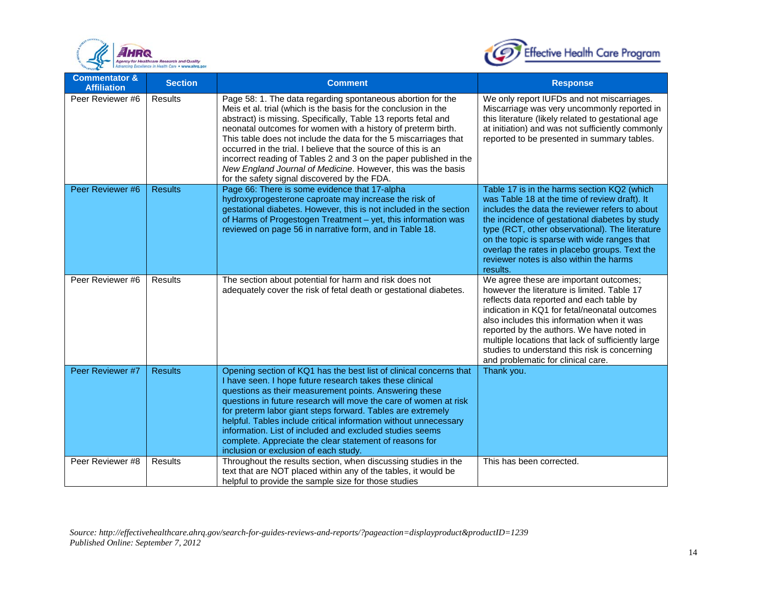



| <b>Commentator &amp;</b><br><b>Affiliation</b> | <b>Section</b> | <b>Comment</b>                                                                                                                                                                                                                                                                                                                                                                                                                                                                                                                                                                              | <b>Response</b>                                                                                                                                                                                                                                                                                                                                                                                                            |
|------------------------------------------------|----------------|---------------------------------------------------------------------------------------------------------------------------------------------------------------------------------------------------------------------------------------------------------------------------------------------------------------------------------------------------------------------------------------------------------------------------------------------------------------------------------------------------------------------------------------------------------------------------------------------|----------------------------------------------------------------------------------------------------------------------------------------------------------------------------------------------------------------------------------------------------------------------------------------------------------------------------------------------------------------------------------------------------------------------------|
| Peer Reviewer #6                               | Results        | Page 58: 1. The data regarding spontaneous abortion for the<br>Meis et al. trial (which is the basis for the conclusion in the<br>abstract) is missing. Specifically, Table 13 reports fetal and<br>neonatal outcomes for women with a history of preterm birth.<br>This table does not include the data for the 5 miscarriages that<br>occurred in the trial. I believe that the source of this is an<br>incorrect reading of Tables 2 and 3 on the paper published in the<br>New England Journal of Medicine. However, this was the basis<br>for the safety signal discovered by the FDA. | We only report IUFDs and not miscarriages.<br>Miscarriage was very uncommonly reported in<br>this literature (likely related to gestational age<br>at initiation) and was not sufficiently commonly<br>reported to be presented in summary tables.                                                                                                                                                                         |
| Peer Reviewer #6                               | <b>Results</b> | Page 66: There is some evidence that 17-alpha<br>hydroxyprogesterone caproate may increase the risk of<br>gestational diabetes. However, this is not included in the section<br>of Harms of Progestogen Treatment - yet, this information was<br>reviewed on page 56 in narrative form, and in Table 18.                                                                                                                                                                                                                                                                                    | Table 17 is in the harms section KQ2 (which<br>was Table 18 at the time of review draft). It<br>includes the data the reviewer refers to about<br>the incidence of gestational diabetes by study<br>type (RCT, other observational). The literature<br>on the topic is sparse with wide ranges that<br>overlap the rates in placebo groups. Text the<br>reviewer notes is also within the harms<br>results.                |
| Peer Reviewer #6                               | <b>Results</b> | The section about potential for harm and risk does not<br>adequately cover the risk of fetal death or gestational diabetes.                                                                                                                                                                                                                                                                                                                                                                                                                                                                 | We agree these are important outcomes;<br>however the literature is limited. Table 17<br>reflects data reported and each table by<br>indication in KQ1 for fetal/neonatal outcomes<br>also includes this information when it was<br>reported by the authors. We have noted in<br>multiple locations that lack of sufficiently large<br>studies to understand this risk is concerning<br>and problematic for clinical care. |
| Peer Reviewer #7                               | <b>Results</b> | Opening section of KQ1 has the best list of clinical concerns that<br>I have seen. I hope future research takes these clinical<br>questions as their measurement points. Answering these<br>questions in future research will move the care of women at risk<br>for preterm labor giant steps forward. Tables are extremely<br>helpful. Tables include critical information without unnecessary<br>information. List of included and excluded studies seems<br>complete. Appreciate the clear statement of reasons for<br>inclusion or exclusion of each study.                             | Thank you.                                                                                                                                                                                                                                                                                                                                                                                                                 |
| Peer Reviewer #8                               | <b>Results</b> | Throughout the results section, when discussing studies in the<br>text that are NOT placed within any of the tables, it would be<br>helpful to provide the sample size for those studies                                                                                                                                                                                                                                                                                                                                                                                                    | This has been corrected.                                                                                                                                                                                                                                                                                                                                                                                                   |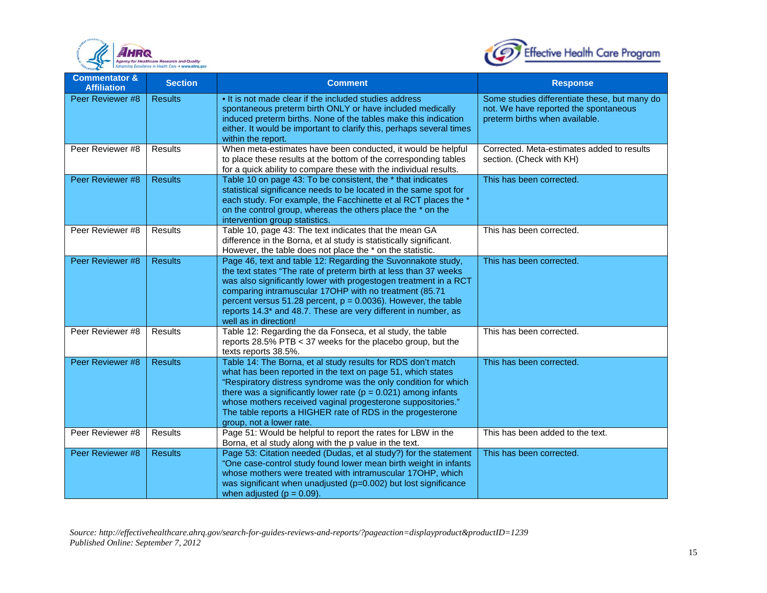



| <b>Commentator &amp;</b><br><b>Affiliation</b> | <b>Section</b> | <b>Comment</b>                                                                                                                                                                                                                                                                                                                                                                                                                  | <b>Response</b>                                                                                                          |
|------------------------------------------------|----------------|---------------------------------------------------------------------------------------------------------------------------------------------------------------------------------------------------------------------------------------------------------------------------------------------------------------------------------------------------------------------------------------------------------------------------------|--------------------------------------------------------------------------------------------------------------------------|
| Peer Reviewer #8                               | <b>Results</b> | . It is not made clear if the included studies address<br>spontaneous preterm birth ONLY or have included medically<br>induced preterm births. None of the tables make this indication<br>either. It would be important to clarify this, perhaps several times<br>within the report.                                                                                                                                            | Some studies differentiate these, but many do<br>not. We have reported the spontaneous<br>preterm births when available. |
| Peer Reviewer #8                               | <b>Results</b> | When meta-estimates have been conducted, it would be helpful<br>to place these results at the bottom of the corresponding tables<br>for a quick ability to compare these with the individual results.                                                                                                                                                                                                                           | Corrected. Meta-estimates added to results<br>section. (Check with KH)                                                   |
| Peer Reviewer #8                               | <b>Results</b> | Table 10 on page 43: To be consistent, the * that indicates<br>statistical significance needs to be located in the same spot for<br>each study. For example, the Facchinette et al RCT places the *<br>on the control group, whereas the others place the * on the<br>intervention group statistics.                                                                                                                            | This has been corrected.                                                                                                 |
| Peer Reviewer #8                               | Results        | Table 10, page 43: The text indicates that the mean GA<br>difference in the Borna, et al study is statistically significant.<br>However, the table does not place the * on the statistic.                                                                                                                                                                                                                                       | This has been corrected.                                                                                                 |
| Peer Reviewer #8                               | <b>Results</b> | Page 46, text and table 12: Regarding the Suvonnakote study,<br>the text states "The rate of preterm birth at less than 37 weeks<br>was also significantly lower with progestogen treatment in a RCT<br>comparing intramuscular 17OHP with no treatment (85.71<br>percent versus $51.28$ percent, $p = 0.0036$ ). However, the table<br>reports 14.3* and 48.7. These are very different in number, as<br>well as in direction! | This has been corrected.                                                                                                 |
| Peer Reviewer #8                               | <b>Results</b> | Table 12: Regarding the da Fonseca, et al study, the table<br>reports 28.5% PTB < 37 weeks for the placebo group, but the<br>texts reports 38.5%.                                                                                                                                                                                                                                                                               | This has been corrected.                                                                                                 |
| Peer Reviewer #8                               | <b>Results</b> | Table 14: The Borna, et al study results for RDS don't match<br>what has been reported in the text on page 51, which states<br>"Respiratory distress syndrome was the only condition for which<br>there was a significantly lower rate ( $p = 0.021$ ) among infants<br>whose mothers received vaginal progesterone suppositories."<br>The table reports a HIGHER rate of RDS in the progesterone<br>group, not a lower rate.   | This has been corrected.                                                                                                 |
| Peer Reviewer #8                               | Results        | Page 51: Would be helpful to report the rates for LBW in the<br>Borna, et al study along with the p value in the text.                                                                                                                                                                                                                                                                                                          | This has been added to the text.                                                                                         |
| Peer Reviewer #8                               | <b>Results</b> | Page 53: Citation needed (Dudas, et al study?) for the statement<br>"One case-control study found lower mean birth weight in infants<br>whose mothers were treated with intramuscular 17OHP, which<br>was significant when unadjusted (p=0.002) but lost significance<br>when adjusted ( $p = 0.09$ ).                                                                                                                          | This has been corrected.                                                                                                 |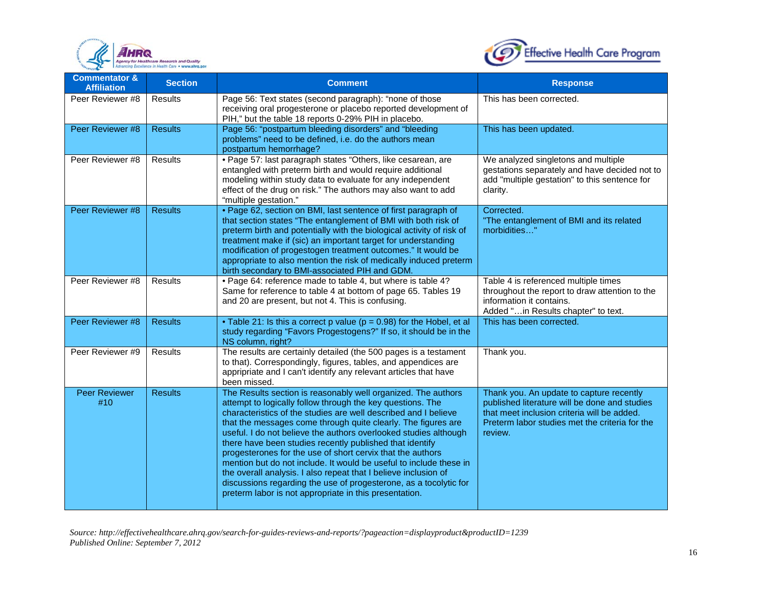



| <b>Commentator &amp;</b><br><b>Affiliation</b> | <b>Section</b> | <b>Comment</b>                                                                                                                                                                                                                                                                                                                                                                                                                                                                                                                                                                                                                                                                                                                        | <b>Response</b>                                                                                                                                                                                       |
|------------------------------------------------|----------------|---------------------------------------------------------------------------------------------------------------------------------------------------------------------------------------------------------------------------------------------------------------------------------------------------------------------------------------------------------------------------------------------------------------------------------------------------------------------------------------------------------------------------------------------------------------------------------------------------------------------------------------------------------------------------------------------------------------------------------------|-------------------------------------------------------------------------------------------------------------------------------------------------------------------------------------------------------|
| Peer Reviewer #8                               | <b>Results</b> | Page 56: Text states (second paragraph): "none of those<br>receiving oral progesterone or placebo reported development of<br>PIH," but the table 18 reports 0-29% PIH in placebo.                                                                                                                                                                                                                                                                                                                                                                                                                                                                                                                                                     | This has been corrected.                                                                                                                                                                              |
| Peer Reviewer #8                               | <b>Results</b> | Page 56: "postpartum bleeding disorders" and "bleeding<br>problems" need to be defined, i.e. do the authors mean<br>postpartum hemorrhage?                                                                                                                                                                                                                                                                                                                                                                                                                                                                                                                                                                                            | This has been updated.                                                                                                                                                                                |
| Peer Reviewer #8                               | <b>Results</b> | · Page 57: last paragraph states "Others, like cesarean, are<br>entangled with preterm birth and would require additional<br>modeling within study data to evaluate for any independent<br>effect of the drug on risk." The authors may also want to add<br>"multiple gestation."                                                                                                                                                                                                                                                                                                                                                                                                                                                     | We analyzed singletons and multiple<br>gestations separately and have decided not to<br>add "multiple gestation" to this sentence for<br>clarity.                                                     |
| Peer Reviewer #8                               | <b>Results</b> | . Page 62, section on BMI, last sentence of first paragraph of<br>that section states "The entanglement of BMI with both risk of<br>preterm birth and potentially with the biological activity of risk of<br>treatment make if (sic) an important target for understanding<br>modification of progestogen treatment outcomes." It would be<br>appropriate to also mention the risk of medically induced preterm<br>birth secondary to BMI-associated PIH and GDM.                                                                                                                                                                                                                                                                     | Corrected.<br>"The entanglement of BMI and its related<br>morbidities"                                                                                                                                |
| Peer Reviewer #8                               | <b>Results</b> | . Page 64: reference made to table 4, but where is table 4?<br>Same for reference to table 4 at bottom of page 65. Tables 19<br>and 20 are present, but not 4. This is confusing.                                                                                                                                                                                                                                                                                                                                                                                                                                                                                                                                                     | Table 4 is referenced multiple times<br>throughout the report to draw attention to the<br>information it contains.<br>Added "in Results chapter" to text.                                             |
| Peer Reviewer #8                               | <b>Results</b> | • Table 21: Is this a correct p value ( $p = 0.98$ ) for the Hobel, et al<br>study regarding "Favors Progestogens?" If so, it should be in the<br>NS column, right?                                                                                                                                                                                                                                                                                                                                                                                                                                                                                                                                                                   | This has been corrected.                                                                                                                                                                              |
| Peer Reviewer #9                               | <b>Results</b> | The results are certainly detailed (the 500 pages is a testament<br>to that). Correspondingly, figures, tables, and appendices are<br>appripriate and I can't identify any relevant articles that have<br>been missed.                                                                                                                                                                                                                                                                                                                                                                                                                                                                                                                | Thank you.                                                                                                                                                                                            |
| <b>Peer Reviewer</b><br>#10                    | <b>Results</b> | The Results section is reasonably well organized. The authors<br>attempt to logically follow through the key questions. The<br>characteristics of the studies are well described and I believe<br>that the messages come through quite clearly. The figures are<br>useful. I do not believe the authors overlooked studies although<br>there have been studies recently published that identify<br>progesterones for the use of short cervix that the authors<br>mention but do not include. It would be useful to include these in<br>the overall analysis. I also repeat that I believe inclusion of<br>discussions regarding the use of progesterone, as a tocolytic for<br>preterm labor is not appropriate in this presentation. | Thank you. An update to capture recently<br>published literature will be done and studies<br>that meet inclusion criteria will be added.<br>Preterm labor studies met the criteria for the<br>review. |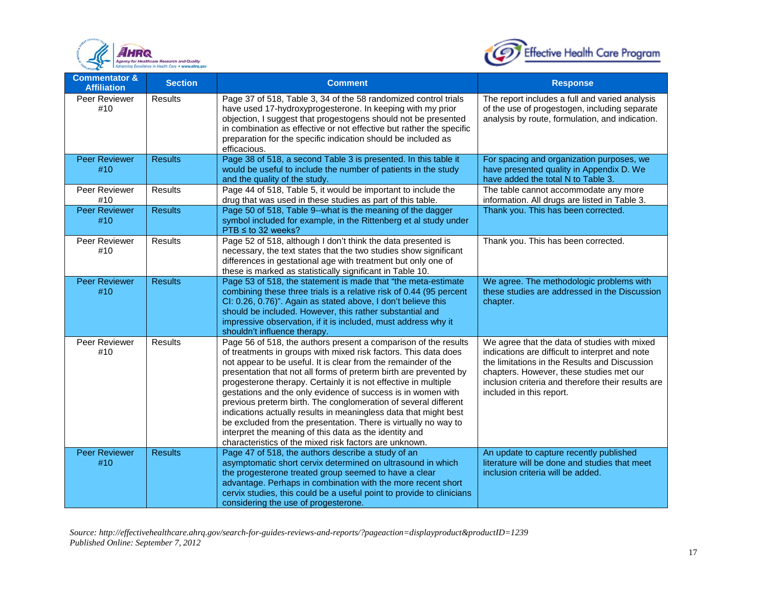



| <b>Commentator &amp;</b><br><b>Affiliation</b> | <b>Section</b> | <b>Comment</b>                                                                                                                                                                                                                                                                                                                                                                                                                                                                                                                                                                                                                                                                                                                             | <b>Response</b>                                                                                                                                                                                                                                                                |
|------------------------------------------------|----------------|--------------------------------------------------------------------------------------------------------------------------------------------------------------------------------------------------------------------------------------------------------------------------------------------------------------------------------------------------------------------------------------------------------------------------------------------------------------------------------------------------------------------------------------------------------------------------------------------------------------------------------------------------------------------------------------------------------------------------------------------|--------------------------------------------------------------------------------------------------------------------------------------------------------------------------------------------------------------------------------------------------------------------------------|
| Peer Reviewer<br>#10                           | <b>Results</b> | Page 37 of 518, Table 3, 34 of the 58 randomized control trials<br>have used 17-hydroxyprogesterone. In keeping with my prior<br>objection, I suggest that progestogens should not be presented<br>in combination as effective or not effective but rather the specific<br>preparation for the specific indication should be included as<br>efficacious.                                                                                                                                                                                                                                                                                                                                                                                   | The report includes a full and varied analysis<br>of the use of progestogen, including separate<br>analysis by route, formulation, and indication.                                                                                                                             |
| <b>Peer Reviewer</b><br>#10                    | <b>Results</b> | Page 38 of 518, a second Table 3 is presented. In this table it<br>would be useful to include the number of patients in the study<br>and the quality of the study.                                                                                                                                                                                                                                                                                                                                                                                                                                                                                                                                                                         | For spacing and organization purposes, we<br>have presented quality in Appendix D. We<br>have added the total N to Table 3.                                                                                                                                                    |
| Peer Reviewer<br>#10                           | <b>Results</b> | Page 44 of 518, Table 5, it would be important to include the<br>drug that was used in these studies as part of this table.                                                                                                                                                                                                                                                                                                                                                                                                                                                                                                                                                                                                                | The table cannot accommodate any more<br>information. All drugs are listed in Table 3.                                                                                                                                                                                         |
| <b>Peer Reviewer</b><br>#10                    | <b>Results</b> | Page 50 of 518, Table 9--what is the meaning of the dagger<br>symbol included for example, in the Rittenberg et al study under<br>$PTB \leq$ to 32 weeks?                                                                                                                                                                                                                                                                                                                                                                                                                                                                                                                                                                                  | Thank you. This has been corrected.                                                                                                                                                                                                                                            |
| Peer Reviewer<br>#10                           | Results        | Page 52 of 518, although I don't think the data presented is<br>necessary, the text states that the two studies show significant<br>differences in gestational age with treatment but only one of<br>these is marked as statistically significant in Table 10.                                                                                                                                                                                                                                                                                                                                                                                                                                                                             | Thank you. This has been corrected.                                                                                                                                                                                                                                            |
| <b>Peer Reviewer</b><br>#10                    | <b>Results</b> | Page 53 of 518, the statement is made that "the meta-estimate<br>combining these three trials is a relative risk of 0.44 (95 percent<br>CI: 0.26, 0.76)". Again as stated above, I don't believe this<br>should be included. However, this rather substantial and<br>impressive observation, if it is included, must address why it<br>shouldn't influence therapy.                                                                                                                                                                                                                                                                                                                                                                        | We agree. The methodologic problems with<br>these studies are addressed in the Discussion<br>chapter.                                                                                                                                                                          |
| Peer Reviewer<br>#10                           | <b>Results</b> | Page 56 of 518, the authors present a comparison of the results<br>of treatments in groups with mixed risk factors. This data does<br>not appear to be useful. It is clear from the remainder of the<br>presentation that not all forms of preterm birth are prevented by<br>progesterone therapy. Certainly it is not effective in multiple<br>gestations and the only evidence of success is in women with<br>previous preterm birth. The conglomeration of several different<br>indications actually results in meaningless data that might best<br>be excluded from the presentation. There is virtually no way to<br>interpret the meaning of this data as the identity and<br>characteristics of the mixed risk factors are unknown. | We agree that the data of studies with mixed<br>indications are difficult to interpret and note<br>the limitations in the Results and Discussion<br>chapters. However, these studies met our<br>inclusion criteria and therefore their results are<br>included in this report. |
| <b>Peer Reviewer</b><br>#10                    | <b>Results</b> | Page 47 of 518, the authors describe a study of an<br>asymptomatic short cervix determined on ultrasound in which<br>the progesterone treated group seemed to have a clear<br>advantage. Perhaps in combination with the more recent short<br>cervix studies, this could be a useful point to provide to clinicians<br>considering the use of progesterone.                                                                                                                                                                                                                                                                                                                                                                                | An update to capture recently published<br>literature will be done and studies that meet<br>inclusion criteria will be added.                                                                                                                                                  |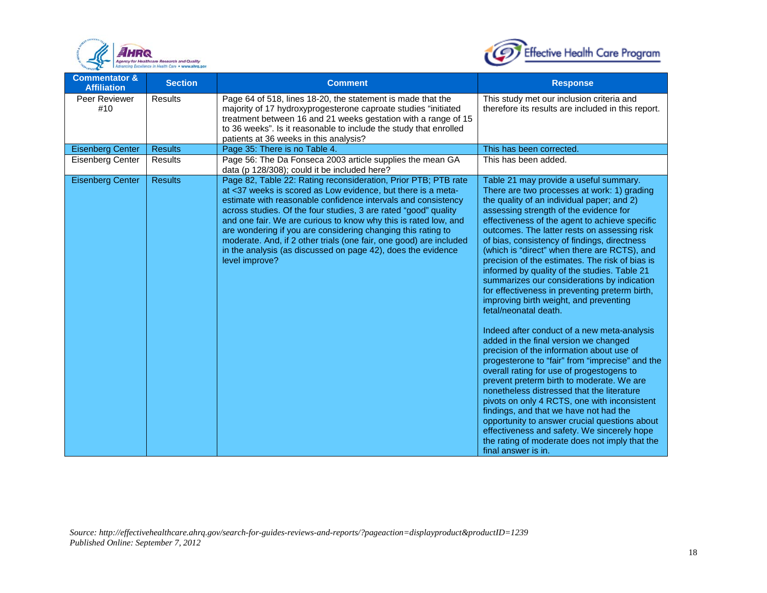



| <b>Commentator &amp;</b><br><b>Affiliation</b> | <b>Section</b> | <b>Comment</b>                                                                                                                                                                                                                                                                                                                                                                                                                                                                                                                                                | <b>Response</b>                                                                                                                                                                                                                                                                                                                                                                                                                                                                                                                                                                                                                                                                                                                                                                                                                                                                                                                                                                                                                                                                                                                                                                                                                                           |
|------------------------------------------------|----------------|---------------------------------------------------------------------------------------------------------------------------------------------------------------------------------------------------------------------------------------------------------------------------------------------------------------------------------------------------------------------------------------------------------------------------------------------------------------------------------------------------------------------------------------------------------------|-----------------------------------------------------------------------------------------------------------------------------------------------------------------------------------------------------------------------------------------------------------------------------------------------------------------------------------------------------------------------------------------------------------------------------------------------------------------------------------------------------------------------------------------------------------------------------------------------------------------------------------------------------------------------------------------------------------------------------------------------------------------------------------------------------------------------------------------------------------------------------------------------------------------------------------------------------------------------------------------------------------------------------------------------------------------------------------------------------------------------------------------------------------------------------------------------------------------------------------------------------------|
| Peer Reviewer<br>#10                           | Results        | Page 64 of 518, lines 18-20, the statement is made that the<br>majority of 17 hydroxyprogesterone caproate studies "initiated<br>treatment between 16 and 21 weeks gestation with a range of 15<br>to 36 weeks". Is it reasonable to include the study that enrolled<br>patients at 36 weeks in this analysis?                                                                                                                                                                                                                                                | This study met our inclusion criteria and<br>therefore its results are included in this report.                                                                                                                                                                                                                                                                                                                                                                                                                                                                                                                                                                                                                                                                                                                                                                                                                                                                                                                                                                                                                                                                                                                                                           |
| <b>Eisenberg Center</b>                        | <b>Results</b> | Page 35: There is no Table 4.                                                                                                                                                                                                                                                                                                                                                                                                                                                                                                                                 | This has been corrected.                                                                                                                                                                                                                                                                                                                                                                                                                                                                                                                                                                                                                                                                                                                                                                                                                                                                                                                                                                                                                                                                                                                                                                                                                                  |
| Eisenberg Center                               | <b>Results</b> | Page 56: The Da Fonseca 2003 article supplies the mean GA<br>data (p 128/308); could it be included here?                                                                                                                                                                                                                                                                                                                                                                                                                                                     | This has been added.                                                                                                                                                                                                                                                                                                                                                                                                                                                                                                                                                                                                                                                                                                                                                                                                                                                                                                                                                                                                                                                                                                                                                                                                                                      |
| <b>Eisenberg Center</b>                        | <b>Results</b> | Page 82, Table 22: Rating reconsideration, Prior PTB; PTB rate<br>at <37 weeks is scored as Low evidence, but there is a meta-<br>estimate with reasonable confidence intervals and consistency<br>across studies. Of the four studies, 3 are rated "good" quality<br>and one fair. We are curious to know why this is rated low, and<br>are wondering if you are considering changing this rating to<br>moderate. And, if 2 other trials (one fair, one good) are included<br>in the analysis (as discussed on page 42), does the evidence<br>level improve? | Table 21 may provide a useful summary.<br>There are two processes at work: 1) grading<br>the quality of an individual paper; and 2)<br>assessing strength of the evidence for<br>effectiveness of the agent to achieve specific<br>outcomes. The latter rests on assessing risk<br>of bias, consistency of findings, directness<br>(which is "direct" when there are RCTS), and<br>precision of the estimates. The risk of bias is<br>informed by quality of the studies. Table 21<br>summarizes our considerations by indication<br>for effectiveness in preventing preterm birth,<br>improving birth weight, and preventing<br>fetal/neonatal death.<br>Indeed after conduct of a new meta-analysis<br>added in the final version we changed<br>precision of the information about use of<br>progesterone to "fair" from "imprecise" and the<br>overall rating for use of progestogens to<br>prevent preterm birth to moderate. We are<br>nonetheless distressed that the literature<br>pivots on only 4 RCTS, one with inconsistent<br>findings, and that we have not had the<br>opportunity to answer crucial questions about<br>effectiveness and safety. We sincerely hope<br>the rating of moderate does not imply that the<br>final answer is in. |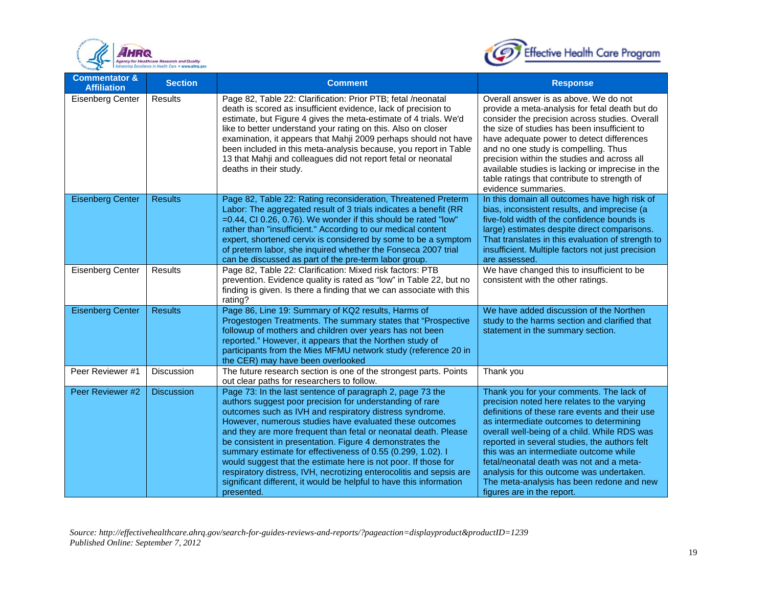



| <b>Commentator &amp;</b><br><b>Affiliation</b> | <b>Section</b>    | <b>Comment</b>                                                                                                                                                                                                                                                                                                                                                                                                                                                                                                                                                                                                                                                          | <b>Response</b>                                                                                                                                                                                                                                                                                                                                                                                                                                                                                     |
|------------------------------------------------|-------------------|-------------------------------------------------------------------------------------------------------------------------------------------------------------------------------------------------------------------------------------------------------------------------------------------------------------------------------------------------------------------------------------------------------------------------------------------------------------------------------------------------------------------------------------------------------------------------------------------------------------------------------------------------------------------------|-----------------------------------------------------------------------------------------------------------------------------------------------------------------------------------------------------------------------------------------------------------------------------------------------------------------------------------------------------------------------------------------------------------------------------------------------------------------------------------------------------|
| <b>Eisenberg Center</b>                        | Results           | Page 82, Table 22: Clarification: Prior PTB; fetal /neonatal<br>death is scored as insufficient evidence, lack of precision to<br>estimate, but Figure 4 gives the meta-estimate of 4 trials. We'd<br>like to better understand your rating on this. Also on closer<br>examination, it appears that Mahji 2009 perhaps should not have<br>been included in this meta-analysis because, you report in Table<br>13 that Mahji and colleagues did not report fetal or neonatal<br>deaths in their study.                                                                                                                                                                   | Overall answer is as above. We do not<br>provide a meta-analysis for fetal death but do<br>consider the precision across studies. Overall<br>the size of studies has been insufficient to<br>have adequate power to detect differences<br>and no one study is compelling. Thus<br>precision within the studies and across all<br>available studies is lacking or imprecise in the<br>table ratings that contribute to strength of<br>evidence summaries.                                            |
| <b>Eisenberg Center</b>                        | <b>Results</b>    | Page 82, Table 22: Rating reconsideration, Threatened Preterm<br>Labor: The aggregated result of 3 trials indicates a benefit (RR<br>=0.44, CI 0.26, 0.76). We wonder if this should be rated "low"<br>rather than "insufficient." According to our medical content<br>expert, shortened cervix is considered by some to be a symptom<br>of preterm labor, she inquired whether the Fonseca 2007 trial<br>can be discussed as part of the pre-term labor group.                                                                                                                                                                                                         | In this domain all outcomes have high risk of<br>bias, inconsistent results, and imprecise (a<br>five-fold width of the confidence bounds is<br>large) estimates despite direct comparisons.<br>That translates in this evaluation of strength to<br>insufficient. Multiple factors not just precision<br>are assessed.                                                                                                                                                                             |
| <b>Eisenberg Center</b>                        | Results           | Page 82, Table 22: Clarification: Mixed risk factors: PTB<br>prevention. Evidence quality is rated as "low" in Table 22, but no<br>finding is given. Is there a finding that we can associate with this<br>rating?                                                                                                                                                                                                                                                                                                                                                                                                                                                      | We have changed this to insufficient to be<br>consistent with the other ratings.                                                                                                                                                                                                                                                                                                                                                                                                                    |
| <b>Eisenberg Center</b>                        | <b>Results</b>    | Page 86, Line 19: Summary of KQ2 results, Harms of<br>Progestogen Treatments. The summary states that "Prospective<br>followup of mothers and children over years has not been<br>reported." However, it appears that the Northen study of<br>participants from the Mies MFMU network study (reference 20 in<br>the CER) may have been overlooked                                                                                                                                                                                                                                                                                                                       | We have added discussion of the Northen<br>study to the harms section and clarified that<br>statement in the summary section.                                                                                                                                                                                                                                                                                                                                                                       |
| Peer Reviewer #1                               | Discussion        | The future research section is one of the strongest parts. Points<br>out clear paths for researchers to follow.                                                                                                                                                                                                                                                                                                                                                                                                                                                                                                                                                         | Thank you                                                                                                                                                                                                                                                                                                                                                                                                                                                                                           |
| Peer Reviewer #2                               | <b>Discussion</b> | Page 73: In the last sentence of paragraph 2, page 73 the<br>authors suggest poor precision for understanding of rare<br>outcomes such as IVH and respiratory distress syndrome.<br>However, numerous studies have evaluated these outcomes<br>and they are more frequent than fetal or neonatal death. Please<br>be consistent in presentation. Figure 4 demonstrates the<br>summary estimate for effectiveness of 0.55 (0.299, 1.02). I<br>would suggest that the estimate here is not poor. If those for<br>respiratory distress, IVH, necrotizing enterocolitis and sepsis are<br>significant different, it would be helpful to have this information<br>presented. | Thank you for your comments. The lack of<br>precision noted here relates to the varying<br>definitions of these rare events and their use<br>as intermediate outcomes to determining<br>overall well-being of a child. While RDS was<br>reported in several studies, the authors felt<br>this was an intermediate outcome while<br>fetal/neonatal death was not and a meta-<br>analysis for this outcome was undertaken.<br>The meta-analysis has been redone and new<br>figures are in the report. |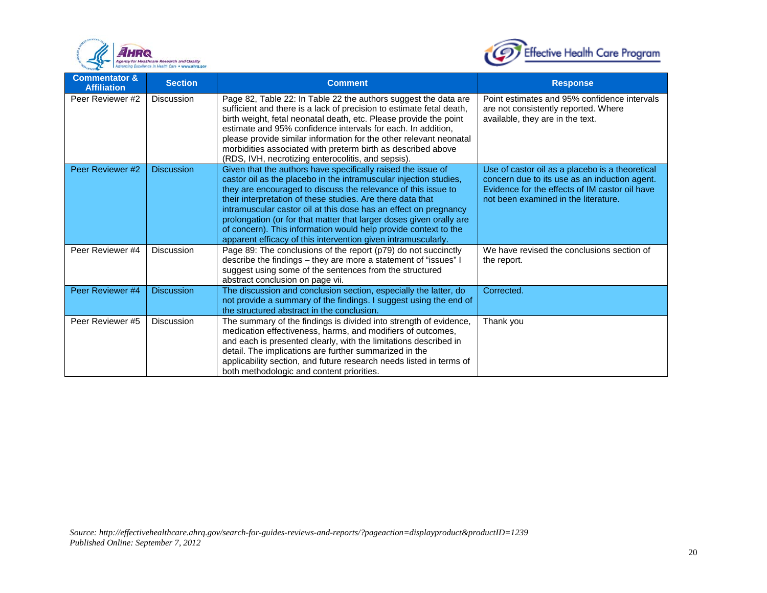



| <b>Commentator &amp;</b><br><b>Affiliation</b> | <b>Section</b>    | <b>Comment</b>                                                                                                                                                                                                                                                                                                                                                                                                                                                                                                                                  | <b>Response</b>                                                                                                                                                                            |
|------------------------------------------------|-------------------|-------------------------------------------------------------------------------------------------------------------------------------------------------------------------------------------------------------------------------------------------------------------------------------------------------------------------------------------------------------------------------------------------------------------------------------------------------------------------------------------------------------------------------------------------|--------------------------------------------------------------------------------------------------------------------------------------------------------------------------------------------|
| Peer Reviewer #2                               | Discussion        | Page 82, Table 22: In Table 22 the authors suggest the data are<br>sufficient and there is a lack of precision to estimate fetal death,<br>birth weight, fetal neonatal death, etc. Please provide the point<br>estimate and 95% confidence intervals for each. In addition,<br>please provide similar information for the other relevant neonatal<br>morbidities associated with preterm birth as described above<br>(RDS, IVH, necrotizing enterocolitis, and sepsis).                                                                        | Point estimates and 95% confidence intervals<br>are not consistently reported. Where<br>available, they are in the text.                                                                   |
| Peer Reviewer #2                               | <b>Discussion</b> | Given that the authors have specifically raised the issue of<br>castor oil as the placebo in the intramuscular injection studies,<br>they are encouraged to discuss the relevance of this issue to<br>their interpretation of these studies. Are there data that<br>intramuscular castor oil at this dose has an effect on pregnancy<br>prolongation (or for that matter that larger doses given orally are<br>of concern). This information would help provide context to the<br>apparent efficacy of this intervention given intramuscularly. | Use of castor oil as a placebo is a theoretical<br>concern due to its use as an induction agent.<br>Evidence for the effects of IM castor oil have<br>not been examined in the literature. |
| Peer Reviewer #4                               | Discussion        | Page 89: The conclusions of the report (p79) do not succinctly<br>describe the findings - they are more a statement of "issues" I<br>suggest using some of the sentences from the structured<br>abstract conclusion on page vii.                                                                                                                                                                                                                                                                                                                | We have revised the conclusions section of<br>the report.                                                                                                                                  |
| Peer Reviewer #4                               | <b>Discussion</b> | The discussion and conclusion section, especially the latter, do<br>not provide a summary of the findings. I suggest using the end of<br>the structured abstract in the conclusion.                                                                                                                                                                                                                                                                                                                                                             | Corrected.                                                                                                                                                                                 |
| Peer Reviewer #5                               | Discussion        | The summary of the findings is divided into strength of evidence,<br>medication effectiveness, harms, and modifiers of outcomes,<br>and each is presented clearly, with the limitations described in<br>detail. The implications are further summarized in the<br>applicability section, and future research needs listed in terms of<br>both methodologic and content priorities.                                                                                                                                                              | Thank you                                                                                                                                                                                  |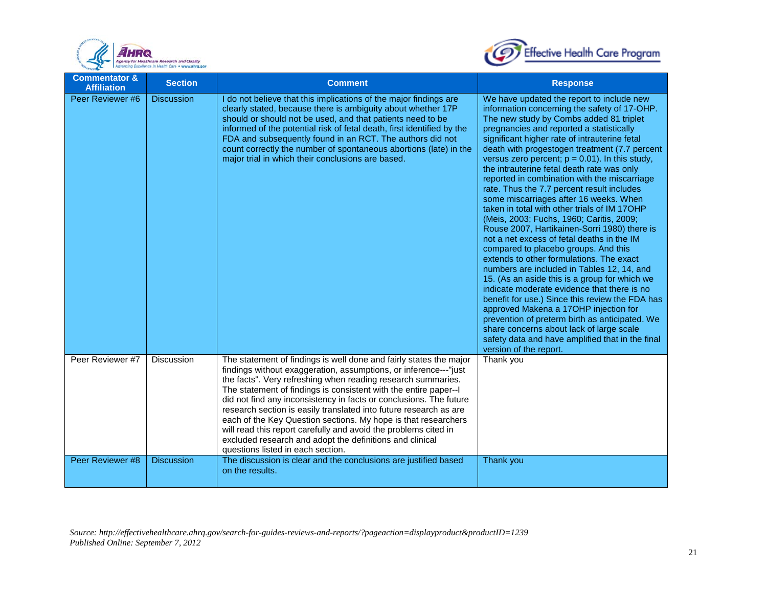



| <b>Commentator &amp;</b><br><b>Affiliation</b> | <b>Section</b>    | <b>Comment</b>                                                                                                                                                                                                                                                                                                                                                                                                                                                                                                                                                                                                                                              | <b>Response</b>                                                                                                                                                                                                                                                                                                                                                                                                                                                                                                                                                                                                                                                                                                                                                                                                                                                                                                                                                                                                                                                                                                                                                                                                                   |
|------------------------------------------------|-------------------|-------------------------------------------------------------------------------------------------------------------------------------------------------------------------------------------------------------------------------------------------------------------------------------------------------------------------------------------------------------------------------------------------------------------------------------------------------------------------------------------------------------------------------------------------------------------------------------------------------------------------------------------------------------|-----------------------------------------------------------------------------------------------------------------------------------------------------------------------------------------------------------------------------------------------------------------------------------------------------------------------------------------------------------------------------------------------------------------------------------------------------------------------------------------------------------------------------------------------------------------------------------------------------------------------------------------------------------------------------------------------------------------------------------------------------------------------------------------------------------------------------------------------------------------------------------------------------------------------------------------------------------------------------------------------------------------------------------------------------------------------------------------------------------------------------------------------------------------------------------------------------------------------------------|
| Peer Reviewer #6                               | <b>Discussion</b> | I do not believe that this implications of the major findings are<br>clearly stated, because there is ambiguity about whether 17P<br>should or should not be used, and that patients need to be<br>informed of the potential risk of fetal death, first identified by the<br>FDA and subsequently found in an RCT. The authors did not<br>count correctly the number of spontaneous abortions (late) in the<br>major trial in which their conclusions are based.                                                                                                                                                                                            | We have updated the report to include new<br>information concerning the safety of 17-OHP.<br>The new study by Combs added 81 triplet<br>pregnancies and reported a statistically<br>significant higher rate of intrauterine fetal<br>death with progestogen treatment (7.7 percent<br>versus zero percent; $p = 0.01$ ). In this study,<br>the intrauterine fetal death rate was only<br>reported in combination with the miscarriage<br>rate. Thus the 7.7 percent result includes<br>some miscarriages after 16 weeks. When<br>taken in total with other trials of IM 17OHP<br>(Meis, 2003; Fuchs, 1960; Caritis, 2009;<br>Rouse 2007, Hartikainen-Sorri 1980) there is<br>not a net excess of fetal deaths in the IM<br>compared to placebo groups. And this<br>extends to other formulations. The exact<br>numbers are included in Tables 12, 14, and<br>15. (As an aside this is a group for which we<br>indicate moderate evidence that there is no<br>benefit for use.) Since this review the FDA has<br>approved Makena a 17OHP injection for<br>prevention of preterm birth as anticipated. We<br>share concerns about lack of large scale<br>safety data and have amplified that in the final<br>version of the report. |
| Peer Reviewer #7                               | <b>Discussion</b> | The statement of findings is well done and fairly states the major<br>findings without exaggeration, assumptions, or inference---"just<br>the facts". Very refreshing when reading research summaries.<br>The statement of findings is consistent with the entire paper--I<br>did not find any inconsistency in facts or conclusions. The future<br>research section is easily translated into future research as are<br>each of the Key Question sections. My hope is that researchers<br>will read this report carefully and avoid the problems cited in<br>excluded research and adopt the definitions and clinical<br>questions listed in each section. | Thank you                                                                                                                                                                                                                                                                                                                                                                                                                                                                                                                                                                                                                                                                                                                                                                                                                                                                                                                                                                                                                                                                                                                                                                                                                         |
| Peer Reviewer #8                               | <b>Discussion</b> | The discussion is clear and the conclusions are justified based<br>on the results.                                                                                                                                                                                                                                                                                                                                                                                                                                                                                                                                                                          | Thank you                                                                                                                                                                                                                                                                                                                                                                                                                                                                                                                                                                                                                                                                                                                                                                                                                                                                                                                                                                                                                                                                                                                                                                                                                         |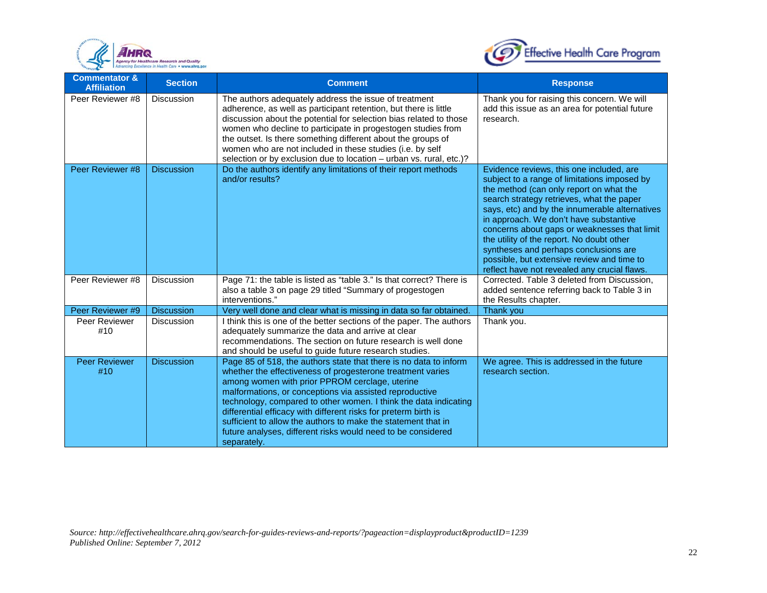



| <b>Commentator &amp;</b><br><b>Affiliation</b> | <b>Section</b>    | <b>Comment</b>                                                                                                                                                                                                                                                                                                                                                                                                                                                                                                                      | <b>Response</b>                                                                                                                                                                                                                                                                                                                                                                                                                                                                                                  |
|------------------------------------------------|-------------------|-------------------------------------------------------------------------------------------------------------------------------------------------------------------------------------------------------------------------------------------------------------------------------------------------------------------------------------------------------------------------------------------------------------------------------------------------------------------------------------------------------------------------------------|------------------------------------------------------------------------------------------------------------------------------------------------------------------------------------------------------------------------------------------------------------------------------------------------------------------------------------------------------------------------------------------------------------------------------------------------------------------------------------------------------------------|
| Peer Reviewer #8                               | <b>Discussion</b> | The authors adequately address the issue of treatment<br>adherence, as well as participant retention, but there is little<br>discussion about the potential for selection bias related to those<br>women who decline to participate in progestogen studies from<br>the outset. Is there something different about the groups of<br>women who are not included in these studies (i.e. by self<br>selection or by exclusion due to location - urban vs. rural, etc.)?                                                                 | Thank you for raising this concern. We will<br>add this issue as an area for potential future<br>research.                                                                                                                                                                                                                                                                                                                                                                                                       |
| Peer Reviewer #8                               | <b>Discussion</b> | Do the authors identify any limitations of their report methods<br>and/or results?                                                                                                                                                                                                                                                                                                                                                                                                                                                  | Evidence reviews, this one included, are<br>subject to a range of limitations imposed by<br>the method (can only report on what the<br>search strategy retrieves, what the paper<br>says, etc) and by the innumerable alternatives<br>in approach. We don't have substantive<br>concerns about gaps or weaknesses that limit<br>the utility of the report. No doubt other<br>syntheses and perhaps conclusions are<br>possible, but extensive review and time to<br>reflect have not revealed any crucial flaws. |
| Peer Reviewer #8                               | Discussion        | Page 71: the table is listed as "table 3." Is that correct? There is<br>also a table 3 on page 29 titled "Summary of progestogen<br>interventions."                                                                                                                                                                                                                                                                                                                                                                                 | Corrected. Table 3 deleted from Discussion,<br>added sentence referring back to Table 3 in<br>the Results chapter.                                                                                                                                                                                                                                                                                                                                                                                               |
| Peer Reviewer #9                               | <b>Discussion</b> | Very well done and clear what is missing in data so far obtained.                                                                                                                                                                                                                                                                                                                                                                                                                                                                   | Thank you                                                                                                                                                                                                                                                                                                                                                                                                                                                                                                        |
| Peer Reviewer<br>#10                           | <b>Discussion</b> | I think this is one of the better sections of the paper. The authors<br>adequately summarize the data and arrive at clear<br>recommendations. The section on future research is well done<br>and should be useful to guide future research studies.                                                                                                                                                                                                                                                                                 | Thank you.                                                                                                                                                                                                                                                                                                                                                                                                                                                                                                       |
| <b>Peer Reviewer</b><br>#10                    | <b>Discussion</b> | Page 85 of 518, the authors state that there is no data to inform<br>whether the effectiveness of progesterone treatment varies<br>among women with prior PPROM cerclage, uterine<br>malformations, or conceptions via assisted reproductive<br>technology, compared to other women. I think the data indicating<br>differential efficacy with different risks for preterm birth is<br>sufficient to allow the authors to make the statement that in<br>future analyses, different risks would need to be considered<br>separately. | We agree. This is addressed in the future<br>research section.                                                                                                                                                                                                                                                                                                                                                                                                                                                   |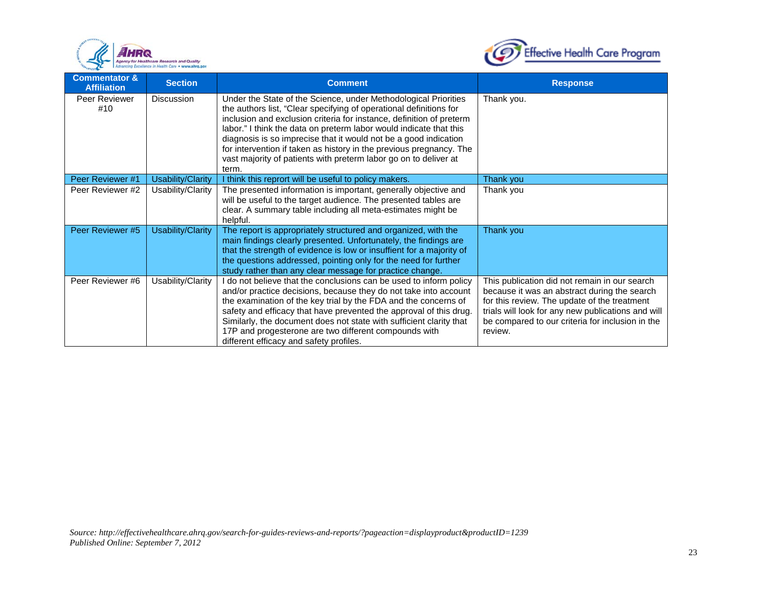



| <b>Commentator &amp;</b><br><b>Affiliation</b> | <b>Section</b>           | <b>Comment</b>                                                                                                                                                                                                                                                                                                                                                                                                                                                                                              | <b>Response</b>                                                                                                                                                                                                                                                    |
|------------------------------------------------|--------------------------|-------------------------------------------------------------------------------------------------------------------------------------------------------------------------------------------------------------------------------------------------------------------------------------------------------------------------------------------------------------------------------------------------------------------------------------------------------------------------------------------------------------|--------------------------------------------------------------------------------------------------------------------------------------------------------------------------------------------------------------------------------------------------------------------|
| Peer Reviewer<br>#10                           | <b>Discussion</b>        | Under the State of the Science, under Methodological Priorities<br>the authors list, "Clear specifying of operational definitions for<br>inclusion and exclusion criteria for instance, definition of preterm<br>labor." I think the data on preterm labor would indicate that this<br>diagnosis is so imprecise that it would not be a good indication<br>for intervention if taken as history in the previous pregnancy. The<br>vast majority of patients with preterm labor go on to deliver at<br>term. | Thank you.                                                                                                                                                                                                                                                         |
| Peer Reviewer #1                               | <b>Usability/Clarity</b> | I think this reprort will be useful to policy makers.                                                                                                                                                                                                                                                                                                                                                                                                                                                       | Thank you                                                                                                                                                                                                                                                          |
| Peer Reviewer #2                               | Usability/Clarity        | The presented information is important, generally objective and<br>will be useful to the target audience. The presented tables are<br>clear. A summary table including all meta-estimates might be<br>helpful.                                                                                                                                                                                                                                                                                              | Thank you                                                                                                                                                                                                                                                          |
| Peer Reviewer #5                               | Usability/Clarity        | The report is appropriately structured and organized, with the<br>main findings clearly presented. Unfortunately, the findings are<br>that the strength of evidence is low or insuffient for a majority of<br>the questions addressed, pointing only for the need for further<br>study rather than any clear message for practice change.                                                                                                                                                                   | Thank you                                                                                                                                                                                                                                                          |
| Peer Reviewer #6                               | Usability/Clarity        | I do not believe that the conclusions can be used to inform policy<br>and/or practice decisions, because they do not take into account<br>the examination of the key trial by the FDA and the concerns of<br>safety and efficacy that have prevented the approval of this drug.<br>Similarly, the document does not state with sufficient clarity that<br>17P and progesterone are two different compounds with<br>different efficacy and safety profiles.                                                  | This publication did not remain in our search<br>because it was an abstract during the search<br>for this review. The update of the treatment<br>trials will look for any new publications and will<br>be compared to our criteria for inclusion in the<br>review. |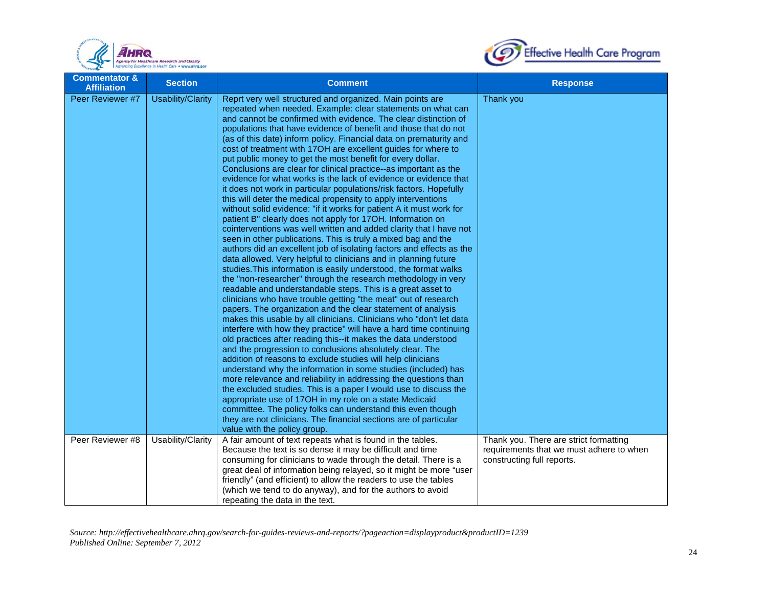



| <b>Commentator &amp;</b><br><b>Affiliation</b> | <b>Section</b>    | <b>Comment</b>                                                                                                                                                                                                                                                                                                                                                                                                                                                                                                                                                                                                                                                                                                                                                                                                                                                                                                                                                                                                                                                                                                                                                                                                                                                                                                                                                                                                                                                                                                                                                                                                                                                                                                                                                                                                                                                                                                                                                                                                                                                                                                                                                                                                                                                                                  | <b>Response</b>                                                                                                  |
|------------------------------------------------|-------------------|-------------------------------------------------------------------------------------------------------------------------------------------------------------------------------------------------------------------------------------------------------------------------------------------------------------------------------------------------------------------------------------------------------------------------------------------------------------------------------------------------------------------------------------------------------------------------------------------------------------------------------------------------------------------------------------------------------------------------------------------------------------------------------------------------------------------------------------------------------------------------------------------------------------------------------------------------------------------------------------------------------------------------------------------------------------------------------------------------------------------------------------------------------------------------------------------------------------------------------------------------------------------------------------------------------------------------------------------------------------------------------------------------------------------------------------------------------------------------------------------------------------------------------------------------------------------------------------------------------------------------------------------------------------------------------------------------------------------------------------------------------------------------------------------------------------------------------------------------------------------------------------------------------------------------------------------------------------------------------------------------------------------------------------------------------------------------------------------------------------------------------------------------------------------------------------------------------------------------------------------------------------------------------------------------|------------------------------------------------------------------------------------------------------------------|
| Peer Reviewer #7                               | Usability/Clarity | Reprt very well structured and organized. Main points are<br>repeated when needed. Example: clear statements on what can<br>and cannot be confirmed with evidence. The clear distinction of<br>populations that have evidence of benefit and those that do not<br>(as of this date) inform policy. Financial data on prematurity and<br>cost of treatment with 17OH are excellent guides for where to<br>put public money to get the most benefit for every dollar.<br>Conclusions are clear for clinical practice--as important as the<br>evidence for what works is the lack of evidence or evidence that<br>it does not work in particular populations/risk factors. Hopefully<br>this will deter the medical propensity to apply interventions<br>without solid evidence: "if it works for patient A it must work for<br>patient B" clearly does not apply for 17OH. Information on<br>cointerventions was well written and added clarity that I have not<br>seen in other publications. This is truly a mixed bag and the<br>authors did an excellent job of isolating factors and effects as the<br>data allowed. Very helpful to clinicians and in planning future<br>studies. This information is easily understood, the format walks<br>the "non-researcher" through the research methodology in very<br>readable and understandable steps. This is a great asset to<br>clinicians who have trouble getting "the meat" out of research<br>papers. The organization and the clear statement of analysis<br>makes this usable by all clinicians. Clinicians who "don't let data<br>interfere with how they practice" will have a hard time continuing<br>old practices after reading this--it makes the data understood<br>and the progression to conclusions absolutely clear. The<br>addition of reasons to exclude studies will help clinicians<br>understand why the information in some studies (included) has<br>more relevance and reliability in addressing the questions than<br>the excluded studies. This is a paper I would use to discuss the<br>appropriate use of 17OH in my role on a state Medicaid<br>committee. The policy folks can understand this even though<br>they are not clinicians. The financial sections are of particular<br>value with the policy group. | Thank you                                                                                                        |
| Peer Reviewer #8                               | Usability/Clarity | A fair amount of text repeats what is found in the tables.<br>Because the text is so dense it may be difficult and time<br>consuming for clinicians to wade through the detail. There is a<br>great deal of information being relayed, so it might be more "user<br>friendly" (and efficient) to allow the readers to use the tables<br>(which we tend to do anyway), and for the authors to avoid<br>repeating the data in the text.                                                                                                                                                                                                                                                                                                                                                                                                                                                                                                                                                                                                                                                                                                                                                                                                                                                                                                                                                                                                                                                                                                                                                                                                                                                                                                                                                                                                                                                                                                                                                                                                                                                                                                                                                                                                                                                           | Thank you. There are strict formatting<br>requirements that we must adhere to when<br>constructing full reports. |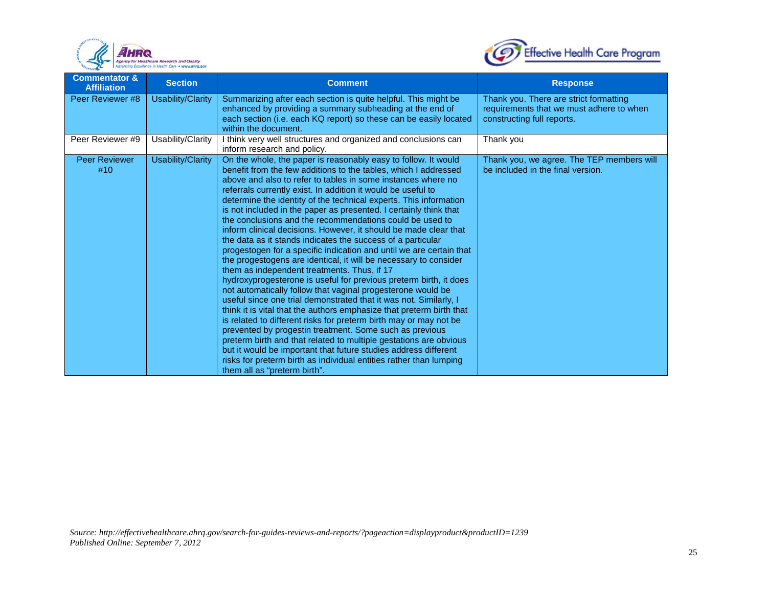



| <b>Commentator &amp;</b><br><b>Affiliation</b> | <b>Section</b>    | <b>Comment</b>                                                                                                                                                                                                                                                                                                                                                                                                                                                                                                                                                                                                                                                                                                                                                                                                                                                                                                                                                                                                                                                                                                                                                                                                                                                                                                                                                                                                                                                      | <b>Response</b>                                                                                                  |
|------------------------------------------------|-------------------|---------------------------------------------------------------------------------------------------------------------------------------------------------------------------------------------------------------------------------------------------------------------------------------------------------------------------------------------------------------------------------------------------------------------------------------------------------------------------------------------------------------------------------------------------------------------------------------------------------------------------------------------------------------------------------------------------------------------------------------------------------------------------------------------------------------------------------------------------------------------------------------------------------------------------------------------------------------------------------------------------------------------------------------------------------------------------------------------------------------------------------------------------------------------------------------------------------------------------------------------------------------------------------------------------------------------------------------------------------------------------------------------------------------------------------------------------------------------|------------------------------------------------------------------------------------------------------------------|
| Peer Reviewer #8                               | Usability/Clarity | Summarizing after each section is quite helpful. This might be<br>enhanced by providing a summary subheading at the end of<br>each section (i.e. each KQ report) so these can be easily located<br>within the document.                                                                                                                                                                                                                                                                                                                                                                                                                                                                                                                                                                                                                                                                                                                                                                                                                                                                                                                                                                                                                                                                                                                                                                                                                                             | Thank you. There are strict formatting<br>requirements that we must adhere to when<br>constructing full reports. |
| Peer Reviewer #9                               | Usability/Clarity | I think very well structures and organized and conclusions can<br>inform research and policy.                                                                                                                                                                                                                                                                                                                                                                                                                                                                                                                                                                                                                                                                                                                                                                                                                                                                                                                                                                                                                                                                                                                                                                                                                                                                                                                                                                       | Thank you                                                                                                        |
| <b>Peer Reviewer</b><br>#10                    | Usability/Clarity | On the whole, the paper is reasonably easy to follow. It would<br>benefit from the few additions to the tables, which I addressed<br>above and also to refer to tables in some instances where no<br>referrals currently exist. In addition it would be useful to<br>determine the identity of the technical experts. This information<br>is not included in the paper as presented. I certainly think that<br>the conclusions and the recommendations could be used to<br>inform clinical decisions. However, it should be made clear that<br>the data as it stands indicates the success of a particular<br>progestogen for a specific indication and until we are certain that<br>the progestogens are identical, it will be necessary to consider<br>them as independent treatments. Thus, if 17<br>hydroxyprogesterone is useful for previous preterm birth, it does<br>not automatically follow that vaginal progesterone would be<br>useful since one trial demonstrated that it was not. Similarly, I<br>think it is vital that the authors emphasize that preterm birth that<br>is related to different risks for preterm birth may or may not be<br>prevented by progestin treatment. Some such as previous<br>preterm birth and that related to multiple gestations are obvious<br>but it would be important that future studies address different<br>risks for preterm birth as individual entities rather than lumping<br>them all as "preterm birth". | Thank you, we agree. The TEP members will<br>be included in the final version.                                   |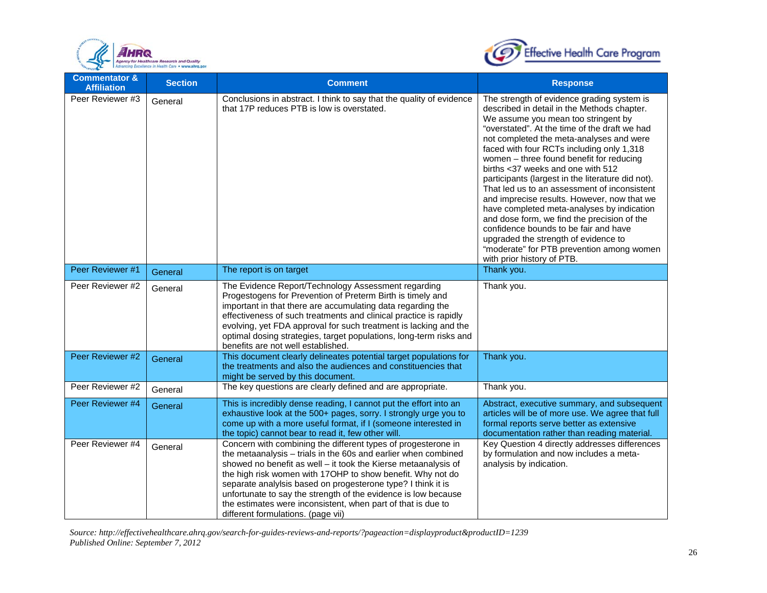



| <b>Commentator &amp;</b><br><b>Affiliation</b> | <b>Section</b> | <b>Comment</b>                                                                                                                                                                                                                                                                                                                                                                                                                                                                                          | <b>Response</b>                                                                                                                                                                                                                                                                                                                                                                                                                                                                                                                                                                                                                                                                                                                                                          |
|------------------------------------------------|----------------|---------------------------------------------------------------------------------------------------------------------------------------------------------------------------------------------------------------------------------------------------------------------------------------------------------------------------------------------------------------------------------------------------------------------------------------------------------------------------------------------------------|--------------------------------------------------------------------------------------------------------------------------------------------------------------------------------------------------------------------------------------------------------------------------------------------------------------------------------------------------------------------------------------------------------------------------------------------------------------------------------------------------------------------------------------------------------------------------------------------------------------------------------------------------------------------------------------------------------------------------------------------------------------------------|
| Peer Reviewer #3                               | General        | Conclusions in abstract. I think to say that the quality of evidence<br>that 17P reduces PTB is low is overstated.                                                                                                                                                                                                                                                                                                                                                                                      | The strength of evidence grading system is<br>described in detail in the Methods chapter.<br>We assume you mean too stringent by<br>"overstated". At the time of the draft we had<br>not completed the meta-analyses and were<br>faced with four RCTs including only 1,318<br>women - three found benefit for reducing<br>births <37 weeks and one with 512<br>participants (largest in the literature did not).<br>That led us to an assessment of inconsistent<br>and imprecise results. However, now that we<br>have completed meta-analyses by indication<br>and dose form, we find the precision of the<br>confidence bounds to be fair and have<br>upgraded the strength of evidence to<br>"moderate" for PTB prevention among women<br>with prior history of PTB. |
| Peer Reviewer #1                               | General        | The report is on target                                                                                                                                                                                                                                                                                                                                                                                                                                                                                 | Thank you.                                                                                                                                                                                                                                                                                                                                                                                                                                                                                                                                                                                                                                                                                                                                                               |
| Peer Reviewer #2                               | General        | The Evidence Report/Technology Assessment regarding<br>Progestogens for Prevention of Preterm Birth is timely and<br>important in that there are accumulating data regarding the<br>effectiveness of such treatments and clinical practice is rapidly<br>evolving, yet FDA approval for such treatment is lacking and the<br>optimal dosing strategies, target populations, long-term risks and<br>benefits are not well established.                                                                   | Thank you.                                                                                                                                                                                                                                                                                                                                                                                                                                                                                                                                                                                                                                                                                                                                                               |
| Peer Reviewer #2                               | General        | This document clearly delineates potential target populations for<br>the treatments and also the audiences and constituencies that<br>might be served by this document.                                                                                                                                                                                                                                                                                                                                 | Thank you.                                                                                                                                                                                                                                                                                                                                                                                                                                                                                                                                                                                                                                                                                                                                                               |
| Peer Reviewer #2                               | General        | The key questions are clearly defined and are appropriate.                                                                                                                                                                                                                                                                                                                                                                                                                                              | Thank you.                                                                                                                                                                                                                                                                                                                                                                                                                                                                                                                                                                                                                                                                                                                                                               |
| Peer Reviewer #4                               | General        | This is incredibly dense reading, I cannot put the effort into an<br>exhaustive look at the 500+ pages, sorry. I strongly urge you to<br>come up with a more useful format, if I (someone interested in<br>the topic) cannot bear to read it, few other will.                                                                                                                                                                                                                                           | Abstract, executive summary, and subsequent<br>articles will be of more use. We agree that full<br>formal reports serve better as extensive<br>documentation rather than reading material.                                                                                                                                                                                                                                                                                                                                                                                                                                                                                                                                                                               |
| Peer Reviewer #4                               | General        | Concern with combining the different types of progesterone in<br>the metaanalysis - trials in the 60s and earlier when combined<br>showed no benefit as well - it took the Kierse metaanalysis of<br>the high risk women with 17OHP to show benefit. Why not do<br>separate analylsis based on progesterone type? I think it is<br>unfortunate to say the strength of the evidence is low because<br>the estimates were inconsistent, when part of that is due to<br>different formulations. (page vii) | Key Question 4 directly addresses differences<br>by formulation and now includes a meta-<br>analysis by indication.                                                                                                                                                                                                                                                                                                                                                                                                                                                                                                                                                                                                                                                      |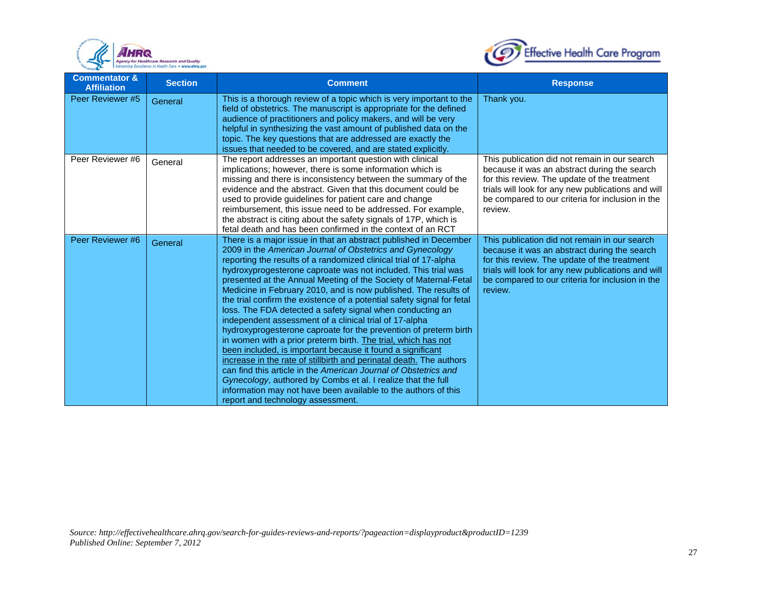



| <b>Commentator &amp;</b><br><b>Affiliation</b> | <b>Section</b> | <b>Comment</b>                                                                                                                                                                                                                                                                                                                                                                                                                                                                                                                                                                                                                                                                                                                                                                                                                                                                                                                                                                                                                                                                                                                 | <b>Response</b>                                                                                                                                                                                                                                                    |
|------------------------------------------------|----------------|--------------------------------------------------------------------------------------------------------------------------------------------------------------------------------------------------------------------------------------------------------------------------------------------------------------------------------------------------------------------------------------------------------------------------------------------------------------------------------------------------------------------------------------------------------------------------------------------------------------------------------------------------------------------------------------------------------------------------------------------------------------------------------------------------------------------------------------------------------------------------------------------------------------------------------------------------------------------------------------------------------------------------------------------------------------------------------------------------------------------------------|--------------------------------------------------------------------------------------------------------------------------------------------------------------------------------------------------------------------------------------------------------------------|
| Peer Reviewer #5                               | General        | This is a thorough review of a topic which is very important to the<br>field of obstetrics. The manuscript is appropriate for the defined<br>audience of practitioners and policy makers, and will be very<br>helpful in synthesizing the vast amount of published data on the<br>topic. The key questions that are addressed are exactly the<br>issues that needed to be covered, and are stated explicitly.                                                                                                                                                                                                                                                                                                                                                                                                                                                                                                                                                                                                                                                                                                                  | Thank you.                                                                                                                                                                                                                                                         |
| Peer Reviewer #6                               | General        | The report addresses an important question with clinical<br>implications; however, there is some information which is<br>missing and there is inconsistency between the summary of the<br>evidence and the abstract. Given that this document could be<br>used to provide guidelines for patient care and change<br>reimbursement, this issue need to be addressed. For example,<br>the abstract is citing about the safety signals of 17P, which is<br>fetal death and has been confirmed in the context of an RCT                                                                                                                                                                                                                                                                                                                                                                                                                                                                                                                                                                                                            | This publication did not remain in our search<br>because it was an abstract during the search<br>for this review. The update of the treatment<br>trials will look for any new publications and will<br>be compared to our criteria for inclusion in the<br>review. |
| Peer Reviewer #6                               | General        | There is a major issue in that an abstract published in December<br>2009 in the American Journal of Obstetrics and Gynecology<br>reporting the results of a randomized clinical trial of 17-alpha<br>hydroxyprogesterone caproate was not included. This trial was<br>presented at the Annual Meeting of the Society of Maternal-Fetal<br>Medicine in February 2010, and is now published. The results of<br>the trial confirm the existence of a potential safety signal for fetal<br>loss. The FDA detected a safety signal when conducting an<br>independent assessment of a clinical trial of 17-alpha<br>hydroxyprogesterone caproate for the prevention of preterm birth<br>in women with a prior preterm birth. The trial, which has not<br>been included, is important because it found a significant<br>increase in the rate of stillbirth and perinatal death. The authors<br>can find this article in the American Journal of Obstetrics and<br>Gynecology, authored by Combs et al. I realize that the full<br>information may not have been available to the authors of this<br>report and technology assessment. | This publication did not remain in our search<br>because it was an abstract during the search<br>for this review. The update of the treatment<br>trials will look for any new publications and will<br>be compared to our criteria for inclusion in the<br>review. |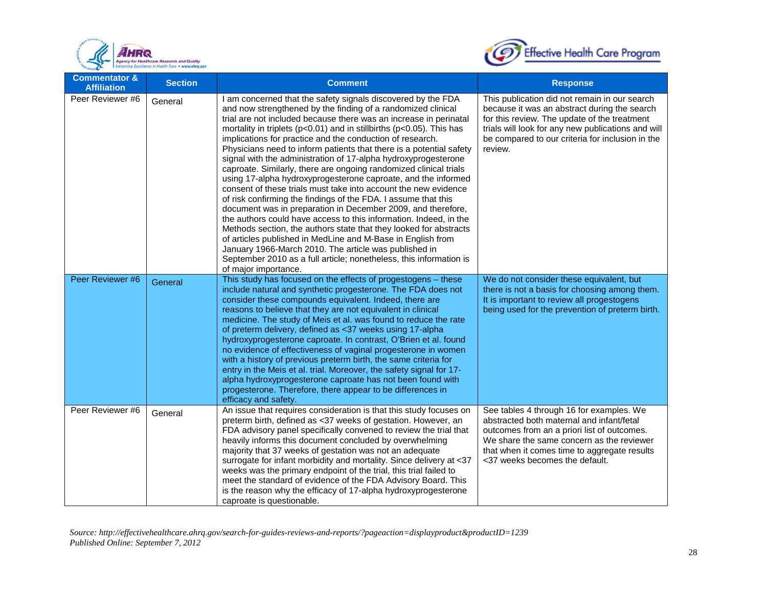



| <b>Commentator &amp;</b><br><b>Affiliation</b> | <b>Section</b> | <b>Comment</b>                                                                                                                                                                                                                                                                                                                                                                                                                                                                                                                                                                                                                                                                                                                                                                                                                                                                                                                                                                                                                                                                                                                                                                                     | <b>Response</b>                                                                                                                                                                                                                                                     |
|------------------------------------------------|----------------|----------------------------------------------------------------------------------------------------------------------------------------------------------------------------------------------------------------------------------------------------------------------------------------------------------------------------------------------------------------------------------------------------------------------------------------------------------------------------------------------------------------------------------------------------------------------------------------------------------------------------------------------------------------------------------------------------------------------------------------------------------------------------------------------------------------------------------------------------------------------------------------------------------------------------------------------------------------------------------------------------------------------------------------------------------------------------------------------------------------------------------------------------------------------------------------------------|---------------------------------------------------------------------------------------------------------------------------------------------------------------------------------------------------------------------------------------------------------------------|
| Peer Reviewer #6                               | General        | I am concerned that the safety signals discovered by the FDA<br>and now strengthened by the finding of a randomized clinical<br>trial are not included because there was an increase in perinatal<br>mortality in triplets ( $p<0.01$ ) and in stillbirths ( $p<0.05$ ). This has<br>implications for practice and the conduction of research.<br>Physicians need to inform patients that there is a potential safety<br>signal with the administration of 17-alpha hydroxyprogesterone<br>caproate. Similarly, there are ongoing randomized clinical trials<br>using 17-alpha hydroxyprogesterone caproate, and the informed<br>consent of these trials must take into account the new evidence<br>of risk confirming the findings of the FDA. I assume that this<br>document was in preparation in December 2009, and therefore,<br>the authors could have access to this information. Indeed, in the<br>Methods section, the authors state that they looked for abstracts<br>of articles published in MedLine and M-Base in English from<br>January 1966-March 2010. The article was published in<br>September 2010 as a full article; nonetheless, this information is<br>of major importance. | This publication did not remain in our search<br>because it was an abstract during the search<br>for this review. The update of the treatment<br>trials will look for any new publications and will<br>be compared to our criteria for inclusion in the<br>review.  |
| Peer Reviewer #6                               | General        | This study has focused on the effects of progestogens - these<br>include natural and synthetic progesterone. The FDA does not<br>consider these compounds equivalent. Indeed, there are<br>reasons to believe that they are not equivalent in clinical<br>medicine. The study of Meis et al. was found to reduce the rate<br>of preterm delivery, defined as <37 weeks using 17-alpha<br>hydroxyprogesterone caproate. In contrast, O'Brien et al. found<br>no evidence of effectiveness of vaginal progesterone in women<br>with a history of previous preterm birth, the same criteria for<br>entry in the Meis et al. trial. Moreover, the safety signal for 17-<br>alpha hydroxyprogesterone caproate has not been found with<br>progesterone. Therefore, there appear to be differences in<br>efficacy and safety.                                                                                                                                                                                                                                                                                                                                                                            | We do not consider these equivalent, but<br>there is not a basis for choosing among them.<br>It is important to review all progestogens<br>being used for the prevention of preterm birth.                                                                          |
| Peer Reviewer #6                               | General        | An issue that requires consideration is that this study focuses on<br>preterm birth, defined as <37 weeks of gestation. However, an<br>FDA advisory panel specifically convened to review the trial that<br>heavily informs this document concluded by overwhelming<br>majority that 37 weeks of gestation was not an adequate<br>surrogate for infant morbidity and mortality. Since delivery at <37<br>weeks was the primary endpoint of the trial, this trial failed to<br>meet the standard of evidence of the FDA Advisory Board. This<br>is the reason why the efficacy of 17-alpha hydroxyprogesterone<br>caproate is questionable.                                                                                                                                                                                                                                                                                                                                                                                                                                                                                                                                                         | See tables 4 through 16 for examples. We<br>abstracted both maternal and infant/fetal<br>outcomes from an a priori list of outcomes.<br>We share the same concern as the reviewer<br>that when it comes time to aggregate results<br><37 weeks becomes the default. |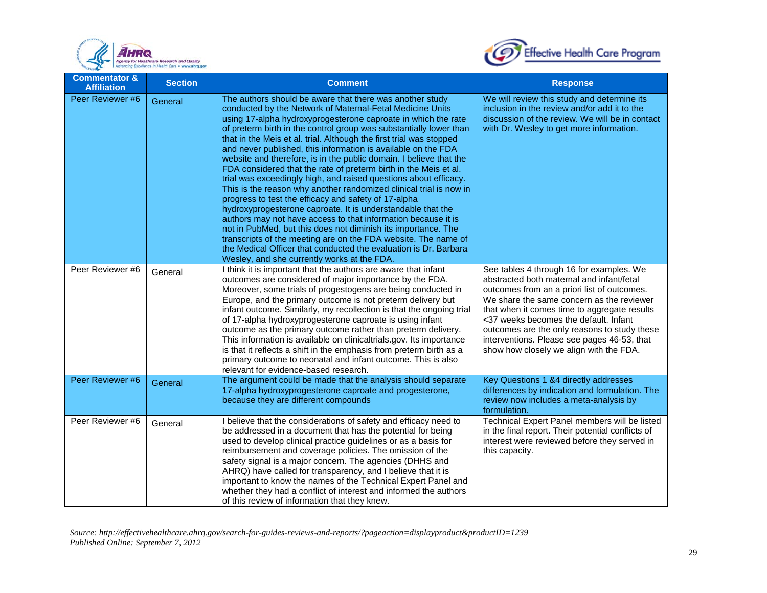



| <b>Commentator &amp;</b><br><b>Affiliation</b> | <b>Section</b> | <b>Comment</b>                                                                                                                                                                                                                                                                                                                                                                                                                                                                                                                                                                                                                                                                                                                                                                                                                                                                                                                                                                                                                                                                                                                         | <b>Response</b>                                                                                                                                                                                                                                                                                                                                                                                                      |
|------------------------------------------------|----------------|----------------------------------------------------------------------------------------------------------------------------------------------------------------------------------------------------------------------------------------------------------------------------------------------------------------------------------------------------------------------------------------------------------------------------------------------------------------------------------------------------------------------------------------------------------------------------------------------------------------------------------------------------------------------------------------------------------------------------------------------------------------------------------------------------------------------------------------------------------------------------------------------------------------------------------------------------------------------------------------------------------------------------------------------------------------------------------------------------------------------------------------|----------------------------------------------------------------------------------------------------------------------------------------------------------------------------------------------------------------------------------------------------------------------------------------------------------------------------------------------------------------------------------------------------------------------|
| Peer Reviewer #6                               | General        | The authors should be aware that there was another study<br>conducted by the Network of Maternal-Fetal Medicine Units<br>using 17-alpha hydroxyprogesterone caproate in which the rate<br>of preterm birth in the control group was substantially lower than<br>that in the Meis et al. trial. Although the first trial was stopped<br>and never published, this information is available on the FDA<br>website and therefore, is in the public domain. I believe that the<br>FDA considered that the rate of preterm birth in the Meis et al.<br>trial was exceedingly high, and raised questions about efficacy.<br>This is the reason why another randomized clinical trial is now in<br>progress to test the efficacy and safety of 17-alpha<br>hydroxyprogesterone caproate. It is understandable that the<br>authors may not have access to that information because it is<br>not in PubMed, but this does not diminish its importance. The<br>transcripts of the meeting are on the FDA website. The name of<br>the Medical Officer that conducted the evaluation is Dr. Barbara<br>Wesley, and she currently works at the FDA. | We will review this study and determine its<br>inclusion in the review and/or add it to the<br>discussion of the review. We will be in contact<br>with Dr. Wesley to get more information.                                                                                                                                                                                                                           |
| Peer Reviewer #6                               | General        | I think it is important that the authors are aware that infant<br>outcomes are considered of major importance by the FDA.<br>Moreover, some trials of progestogens are being conducted in<br>Europe, and the primary outcome is not preterm delivery but<br>infant outcome. Similarly, my recollection is that the ongoing trial<br>of 17-alpha hydroxyprogesterone caproate is using infant<br>outcome as the primary outcome rather than preterm delivery.<br>This information is available on clinicaltrials.gov. Its importance<br>is that it reflects a shift in the emphasis from preterm birth as a<br>primary outcome to neonatal and infant outcome. This is also<br>relevant for evidence-based research.                                                                                                                                                                                                                                                                                                                                                                                                                    | See tables 4 through 16 for examples. We<br>abstracted both maternal and infant/fetal<br>outcomes from an a priori list of outcomes.<br>We share the same concern as the reviewer<br>that when it comes time to aggregate results<br><37 weeks becomes the default. Infant<br>outcomes are the only reasons to study these<br>interventions. Please see pages 46-53, that<br>show how closely we align with the FDA. |
| Peer Reviewer #6                               | General        | The argument could be made that the analysis should separate<br>17-alpha hydroxyprogesterone caproate and progesterone,<br>because they are different compounds                                                                                                                                                                                                                                                                                                                                                                                                                                                                                                                                                                                                                                                                                                                                                                                                                                                                                                                                                                        | Key Questions 1 &4 directly addresses<br>differences by indication and formulation. The<br>review now includes a meta-analysis by<br>formulation.                                                                                                                                                                                                                                                                    |
| Peer Reviewer #6                               | General        | I believe that the considerations of safety and efficacy need to<br>be addressed in a document that has the potential for being<br>used to develop clinical practice guidelines or as a basis for<br>reimbursement and coverage policies. The omission of the<br>safety signal is a major concern. The agencies (DHHS and<br>AHRQ) have called for transparency, and I believe that it is<br>important to know the names of the Technical Expert Panel and<br>whether they had a conflict of interest and informed the authors<br>of this review of information that they knew.                                                                                                                                                                                                                                                                                                                                                                                                                                                                                                                                                        | Technical Expert Panel members will be listed<br>in the final report. Their potential conflicts of<br>interest were reviewed before they served in<br>this capacity.                                                                                                                                                                                                                                                 |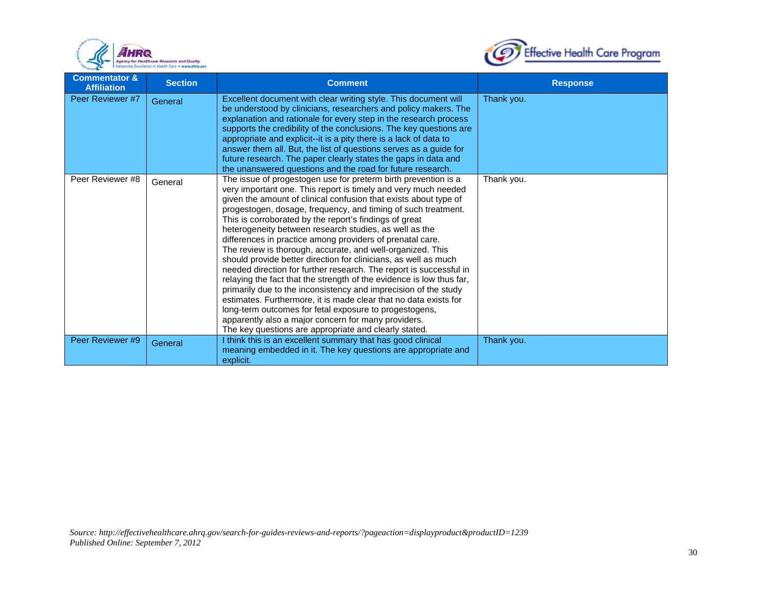



| <b>Commentator &amp;</b><br><b>Affiliation</b> | <b>Section</b> | <b>Comment</b>                                                                                                                                                                                                                                                                                                                                                                                                                                                                                                                                                                                                                                                                                                                                                                                                                                                                                                                                                                                                                                         | <b>Response</b> |
|------------------------------------------------|----------------|--------------------------------------------------------------------------------------------------------------------------------------------------------------------------------------------------------------------------------------------------------------------------------------------------------------------------------------------------------------------------------------------------------------------------------------------------------------------------------------------------------------------------------------------------------------------------------------------------------------------------------------------------------------------------------------------------------------------------------------------------------------------------------------------------------------------------------------------------------------------------------------------------------------------------------------------------------------------------------------------------------------------------------------------------------|-----------------|
| Peer Reviewer #7                               | General        | Excellent document with clear writing style. This document will<br>be understood by clinicians, researchers and policy makers. The<br>explanation and rationale for every step in the research process<br>supports the credibility of the conclusions. The key questions are<br>appropriate and explicit--it is a pity there is a lack of data to<br>answer them all. But, the list of questions serves as a guide for<br>future research. The paper clearly states the gaps in data and<br>the unanswered questions and the road for future research.                                                                                                                                                                                                                                                                                                                                                                                                                                                                                                 | Thank you.      |
| Peer Reviewer #8                               | General        | The issue of progestogen use for preterm birth prevention is a<br>very important one. This report is timely and very much needed<br>given the amount of clinical confusion that exists about type of<br>progestogen, dosage, frequency, and timing of such treatment.<br>This is corroborated by the report's findings of great<br>heterogeneity between research studies, as well as the<br>differences in practice among providers of prenatal care.<br>The review is thorough, accurate, and well-organized. This<br>should provide better direction for clinicians, as well as much<br>needed direction for further research. The report is successful in<br>relaying the fact that the strength of the evidence is low thus far,<br>primarily due to the inconsistency and imprecision of the study<br>estimates. Furthermore, it is made clear that no data exists for<br>long-term outcomes for fetal exposure to progestogens,<br>apparently also a major concern for many providers.<br>The key questions are appropriate and clearly stated. | Thank you.      |
| Peer Reviewer #9                               | General        | I think this is an excellent summary that has good clinical<br>meaning embedded in it. The key questions are appropriate and<br>explicit.                                                                                                                                                                                                                                                                                                                                                                                                                                                                                                                                                                                                                                                                                                                                                                                                                                                                                                              | Thank you.      |